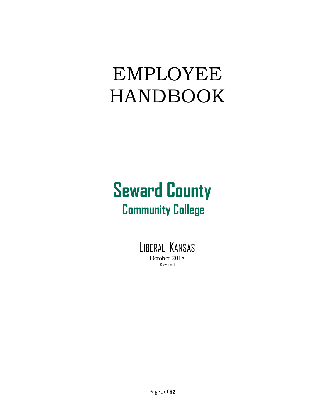# EMPLOYEE HANDBOOK

# **Seward County Community College**

LIBERAL, KANSAS October 2018 Revised

Page i of 62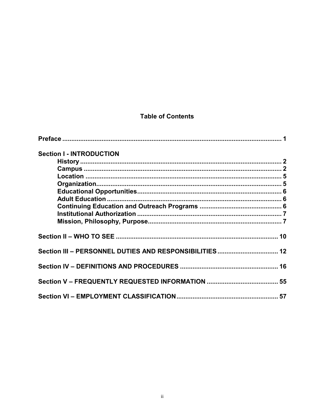# **Table of Contents**

| <b>Section I - INTRODUCTION</b>                         |  |
|---------------------------------------------------------|--|
|                                                         |  |
|                                                         |  |
|                                                         |  |
|                                                         |  |
|                                                         |  |
|                                                         |  |
|                                                         |  |
|                                                         |  |
|                                                         |  |
|                                                         |  |
| Section III - PERSONNEL DUTIES AND RESPONSIBILITIES  12 |  |
|                                                         |  |
|                                                         |  |
|                                                         |  |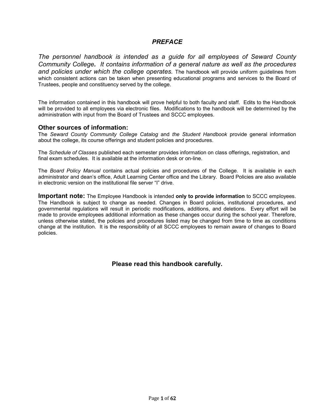## *PREFACE*

*The personnel handbook is intended as a guide for all employees of Seward County Community College. It contains information of a general nature as well as the procedures and policies under which the college operates.* The handbook will provide uniform guidelines from which consistent actions can be taken when presenting educational programs and services to the Board of Trustees, people and constituency served by the college.

The information contained in this handbook will prove helpful to both faculty and staff. Edits to the Handbook will be provided to all employees via electronic files. Modifications to the handbook will be determined by the administration with input from the Board of Trustees and SCCC employees.

#### **Other sources of information:**

The *Seward County Community College Catalog* and *the Student Handbook* provide general information about the college, its course offerings and student policies and procedures.

The *Schedule of Classes* published each semester provides information on class offerings, registration, and final exam schedules. It is available at the information desk or on-line.

The *Board Policy Manual* contains actual policies and procedures of the College. It is available in each administrator and dean's office, Adult Learning Center office and the Library. Board Policies are also available in electronic version on the institutional file server "I" drive.

**Important note:** The Employee Handbook is intended **only to provide information** to SCCC employees. The Handbook is subject to change as needed. Changes in Board policies, institutional procedures, and governmental regulations will result in periodic modifications, additions, and deletions. Every effort will be made to provide employees additional information as these changes occur during the school year. Therefore, unless otherwise stated, the policies and procedures listed may be changed from time to time as conditions change at the institution. It is the responsibility of all SCCC employees to remain aware of changes to Board policies.

**Please read this handbook carefully.**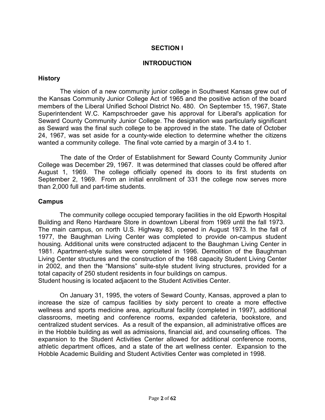## **SECTION I**

## **INTRODUCTION**

## **History**

 The vision of a new community junior college in Southwest Kansas grew out of the Kansas Community Junior College Act of 1965 and the positive action of the board members of the Liberal Unified School District No. 480. On September 15, 1967, State Superintendent W.C. Kampschroeder gave his approval for Liberal's application for Seward County Community Junior College. The designation was particularly significant as Seward was the final such college to be approved in the state. The date of October 24, 1967, was set aside for a county-wide election to determine whether the citizens wanted a community college. The final vote carried by a margin of 3.4 to 1.

 The date of the Order of Establishment for Seward County Community Junior College was December 29, 1967. It was determined that classes could be offered after August 1, 1969. The college officially opened its doors to its first students on September 2, 1969. From an initial enrollment of 331 the college now serves more than 2,000 full and part-time students.

## **Campus**

 The community college occupied temporary facilities in the old Epworth Hospital Building and Reno Hardware Store in downtown Liberal from 1969 until the fall 1973. The main campus, on north U.S. Highway 83, opened in August 1973. In the fall of 1977, the Baughman Living Center was completed to provide on-campus student housing. Additional units were constructed adjacent to the Baughman Living Center in 1981. Apartment-style suites were completed in 1996. Demolition of the Baughman Living Center structures and the construction of the 168 capacity Student Living Center in 2002, and then the "Mansions" suite-style student living structures, provided for a total capacity of 250 student residents in four buildings on campus. Student housing is located adjacent to the Student Activities Center.

 On January 31, 1995, the voters of Seward County, Kansas, approved a plan to increase the size of campus facilities by sixty percent to create a more effective wellness and sports medicine area, agricultural facility (completed in 1997), additional classrooms, meeting and conference rooms, expanded cafeteria, bookstore, and centralized student services. As a result of the expansion, all administrative offices are in the Hobble building as well as admissions, financial aid, and counseling offices. The expansion to the Student Activities Center allowed for additional conference rooms, athletic department offices, and a state of the art wellness center. Expansion to the Hobble Academic Building and Student Activities Center was completed in 1998.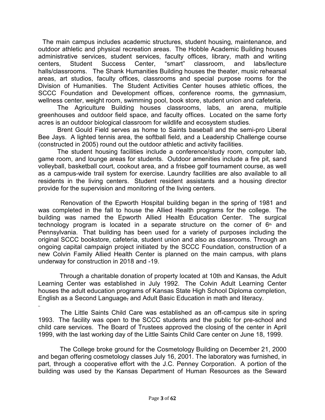The main campus includes academic structures, student housing, maintenance, and outdoor athletic and physical recreation areas. The Hobble Academic Building houses administrative services, student services, faculty offices, library, math and writing centers, Student Success Center, "smart" classroom, and labs/lecture halls/classrooms. The Shank Humanities Building houses the theater, music rehearsal areas, art studios, faculty offices, classrooms and special purpose rooms for the Division of Humanities. The Student Activities Center houses athletic offices, the SCCC Foundation and Development offices, conference rooms, the gymnasium, wellness center, weight room, swimming pool, book store, student union and cafeteria.

The Agriculture Building houses classrooms, labs, an arena, multiple greenhouses and outdoor field space, and faculty offices. Located on the same forty acres is an outdoor biological classroom for wildlife and ecosystem studies.

Brent Gould Field serves as home to Saints baseball and the semi-pro Liberal Bee Jays. A lighted tennis area, the softball field, and a Leadership Challenge course (constructed in 2005) round out the outdoor athletic and activity facilities.

The student housing facilities include a conference/study room, computer lab, game room, and lounge areas for students. Outdoor amenities include a fire pit, sand volleyball, basketball court, cookout area, and a frisbee golf tournament course, as well as a campus-wide trail system for exercise. Laundry facilities are also available to all residents in the living centers. Student resident assistants and a housing director provide for the supervision and monitoring of the living centers.

 Renovation of the Epworth Hospital building began in the spring of 1981 and was completed in the fall to house the Allied Health programs for the college. The building was named the Epworth Allied Health Education Center. The surgical technology program is located in a separate structure on the corner of  $6<sup>th</sup>$  and Pennsylvania. That building has been used for a variety of purposes including the original SCCC bookstore, cafeteria, student union and also as classrooms. Through an ongoing capital campaign project initiated by the SCCC Foundation, construction of a new Colvin Family Allied Health Center is planned on the main campus, with plans underway for construction in 2018 and -19.

 Through a charitable donation of property located at 10th and Kansas, the Adult Learning Center was established in July 1992. The Colvin Adult Learning Center houses the adult education programs of Kansas State High School Diploma completion, English as a Second Language, and Adult Basic Education in math and literacy.

 The Little Saints Child Care was established as an off-campus site in spring 1993. The facility was open to the SCCC students and the public for pre-school and child care services. The Board of Trustees approved the closing of the center in April 1999, with the last working day of the Little Saints Child Care center on June 18, 1999.

 The College broke ground for the Cosmetology Building on December 21, 2000 and began offering cosmetology classes July 16, 2001. The laboratory was furnished, in part, through a cooperative effort with the J.C. Penney Corporation. A portion of the building was used by the Kansas Department of Human Resources as the Seward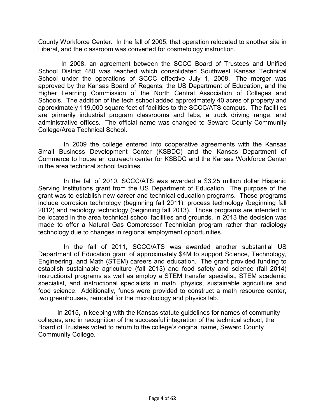County Workforce Center. In the fall of 2005, that operation relocated to another site in Liberal, and the classroom was converted for cosmetology instruction.

 In 2008, an agreement between the SCCC Board of Trustees and Unified School District 480 was reached which consolidated Southwest Kansas Technical School under the operations of SCCC effective July 1, 2008. The merger was approved by the Kansas Board of Regents, the US Department of Education, and the Higher Learning Commission of the North Central Association of Colleges and Schools. The addition of the tech school added approximately 40 acres of property and approximately 119,000 square feet of facilities to the SCCC/ATS campus. The facilities are primarily industrial program classrooms and labs, a truck driving range, and administrative offices. The official name was changed to Seward County Community College/Area Technical School.

In 2009 the college entered into cooperative agreements with the Kansas Small Business Development Center (KSBDC) and the Kansas Department of Commerce to house an outreach center for KSBDC and the Kansas Workforce Center in the area technical school facilities.

In the fall of 2010, SCCC/ATS was awarded a \$3.25 million dollar Hispanic Serving Institutions grant from the US Department of Education. The purpose of the grant was to establish new career and technical education programs. Those programs include corrosion technology (beginning fall 2011), process technology (beginning fall 2012) and radiology technology (beginning fall 2013). Those programs are intended to be located in the area technical school facilities and grounds. In 2013 the decision was made to offer a Natural Gas Compressor Technician program rather than radiology technology due to changes in regional employment opportunities.

In the fall of 2011, SCCC/ATS was awarded another substantial US Department of Education grant of approximately \$4M to support Science, Technology, Engineering, and Math (STEM) careers and education. The grant provided funding to establish sustainable agriculture (fall 2013) and food safety and science (fall 2014) instructional programs as well as employ a STEM transfer specialist, STEM academic specialist, and instructional specialists in math, physics, sustainable agriculture and food science. Additionally, funds were provided to construct a math resource center, two greenhouses, remodel for the microbiology and physics lab.

In 2015, in keeping with the Kansas statute guidelines for names of community colleges, and in recognition of the successful integration of the technical school, the Board of Trustees voted to return to the college's original name, Seward County Community College.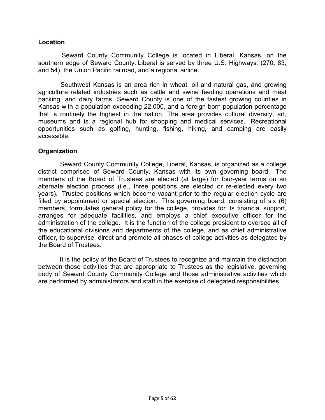## **Location**

 Seward County Community College is located in Liberal, Kansas, on the southern edge of Seward County. Liberal is served by three U.S. Highways: (270, 83, and 54), the Union Pacific railroad, and a regional airline.

 Southwest Kansas is an area rich in wheat, oil and natural gas, and growing agriculture related industries such as cattle and swine feeding operations and meat packing, and dairy farms. Seward County is one of the fastest growing counties in Kansas with a population exceeding 22,000, and a foreign-born population percentage that is routinely the highest in the nation. The area provides cultural diversity, art, museums and is a regional hub for shopping and medical services. Recreational opportunities such as golfing, hunting, fishing, hiking, and camping are easily accessible.

## **Organization**

 Seward County Community College, Liberal, Kansas, is organized as a college district comprised of Seward County, Kansas with its own governing board. The members of the Board of Trustees are elected (at large) for four-year terms on an alternate election process (i.e., three positions are elected or re-elected every two years). Trustee positions which become vacant prior to the regular election cycle are filled by appointment or special election. This governing board, consisting of six (6) members, formulates general policy for the college, provides for its financial support, arranges for adequate facilities, and employs a chief executive officer for the administration of the college. It is the function of the college president to oversee all of the educational divisions and departments of the college, and as chief administrative officer, to supervise, direct and promote all phases of college activities as delegated by the Board of Trustees.

 It is the policy of the Board of Trustees to recognize and maintain the distinction between those activities that are appropriate to Trustees as the legislative, governing body of Seward County Community College and those administrative activities which are performed by administrators and staff in the exercise of delegated responsibilities.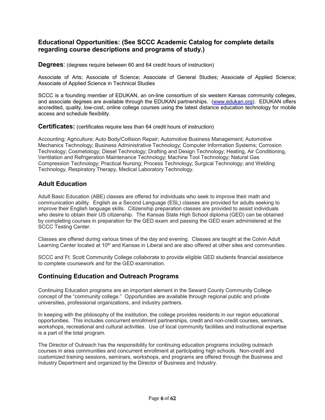## **Educational Opportunities: (See SCCC Academic Catalog for complete details regarding course descriptions and programs of study.)**

**Degrees**: (degrees require between 60 and 64 credit hours of instruction)

Associate of Arts; Associate of Science; Associate of General Studies; Associate of Applied Science; Associate of Applied Science in Technical Studies

SCCC is a founding member of EDUKAN, an on-line consortium of six western Kansas community colleges, and associate degrees are available through the EDUKAN partnerships. [\(www.edukan.org\)](http://www.edukan.org/). EDUKAN offers accredited, quality, low-cost, online college courses using the latest distance education technology for mobile access and schedule flexibility.

**Certificates:** (certificates require less than 64 credit hours of instruction)

Accounting; Agriculture; Auto Body/Collision Repair; Automotive Business Management; Automotive Mechanics Technology; Business Administrative Technology; Computer Information Systems; Corrosion Technology; Cosmetology; Diesel Technology; Drafting and Design Technology; Heating, Air Conditioning, Ventilation and Refrigeration Maintenance Technology; Machine Tool Technology; Natural Gas Compression Technology; Practical Nursing; Process Technology; Surgical Technology; and Welding Technology, Respiratory Therapy, Medical Laboratory Technology.

## **Adult Education**

Adult Basic Education (ABE) classes are offered for individuals who seek to improve their math and communication ability. English as a Second Language (ESL) classes are provided for adults seeking to improve their English language skills. Citizenship preparation classes are provided to assist individuals who desire to obtain their US citizenship. The Kansas State High School diploma (GED) can be obtained by completing courses in preparation for the GED exam and passing the GED exam administered at the SCCC Testing Center.

Classes are offered during various times of the day and evening. Classes are taught at the Colvin Adult Learning Center located at 10<sup>th</sup> and Kansas in Liberal and are also offered at other sites and communities.

SCCC and Ft. Scott Community College collaborate to provide eligible GED students financial assistance to complete coursework and for the GED examination.

## **Continuing Education and Outreach Programs**

Continuing Education programs are an important element in the Seward County Community College concept of the "community college." Opportunities are available through regional public and private universities, professional organizations, and industry partners.

In keeping with the philosophy of the institution, the college provides residents in our region educational opportunities. This includes concurrent enrollment partnerships, credit and non-credit courses, seminars, workshops, recreational and cultural activities. Use of local community facilities and instructional expertise is a part of the total program.

The Director of Outreach has the responsibility for continuing education programs including outreach courses in area communities and concurrent enrollment at participating high schools. Non-credit and customized training sessions, seminars, workshops, and programs are offered through the Business and Industry Department and organized by the Director of Business and Industry.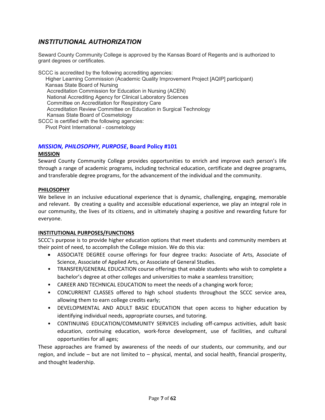# *INSTITUTIONAL AUTHORIZATION*

Seward County Community College is approved by the Kansas Board of Regents and is authorized to grant degrees or certificates.

SCCC is accredited by the following accrediting agencies: Higher Learning Commission (Academic Quality Improvement Project [AQIP] participant) Kansas State Board of Nursing Accreditation Commission for Education in Nursing (ACEN) National Accrediting Agency for Clinical Laboratory Sciences Committee on Accreditation for Respiratory Care Accreditation Review Committee on Education in Surgical Technology Kansas State Board of Cosmetology

SCCC is certified with the following agencies: Pivot Point International - cosmetology

## *MISSION, PHILOSOPHY, PURPOSE***, Board Policy #101**

#### **MISSION**

Seward County Community College provides opportunities to enrich and improve each person's life through a range of academic programs, including technical education, certificate and degree programs, and transferable degree programs, for the advancement of the individual and the community.

#### **PHILOSOPHY**

We believe in an inclusive educational experience that is dynamic, challenging, engaging, memorable and relevant. By creating a quality and accessible educational experience, we play an integral role in our community, the lives of its citizens, and in ultimately shaping a positive and rewarding future for everyone.

#### **INSTITUTIONAL PURPOSES/FUNCTIONS**

SCCC's purpose is to provide higher education options that meet students and community members at their point of need, to accomplish the College mission. We do this via:

- ASSOCIATE DEGREE course offerings for four degree tracks: Associate of Arts, Associate of Science, Associate of Applied Arts, or Associate of General Studies.
- TRANSFER/GENERAL EDUCATION course offerings that enable students who wish to complete a bachelor's degree at other colleges and universities to make a seamless transition;
- CAREER AND TECHNICAL EDUCATION to meet the needs of a changing work force;
- CONCURRENT CLASSES offered to high school students throughout the SCCC service area, allowing them to earn college credits early;
- DEVELOPMENTAL AND ADULT BASIC EDUCATION that open access to higher education by identifying individual needs, appropriate courses, and tutoring.
- CONTINUING EDUCATION/COMMUNITY SERVICES including off-campus activities, adult basic education, continuing education, work-force development, use of facilities, and cultural opportunities for all ages;

These approaches are framed by awareness of the needs of our students, our community, and our region, and include – but are not limited to – physical, mental, and social health, financial prosperity, and thought leadership.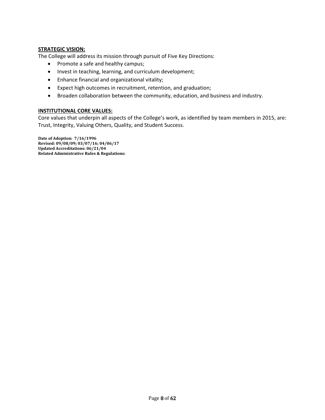#### **STRATEGIC VISION:**

The College will address its mission through pursuit of Five Key Directions:

- Promote a safe and healthy campus;
- Invest in teaching, learning, and curriculum development;
- Enhance financial and organizational vitality;
- Expect high outcomes in recruitment, retention, and graduation;
- Broaden collaboration between the community, education, and business and industry.

#### **INSTITUTIONAL CORE VALUES:**

Core values that underpin all aspects of the College's work, as identified by team members in 2015, are: Trust, Integrity, Valuing Others, Quality, and Student Success.

**Date of Adoption: 7/16/1996 Revised: 09/08/09; 03/07/16; 04/06/17 Updated Accreditations: 06/21/04 Related Administrative Rules & Regulations:**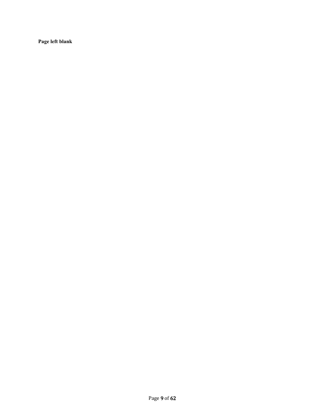**Page left blank**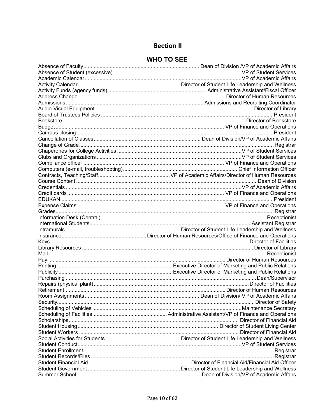# **Section II**

# **WHO TO SEE**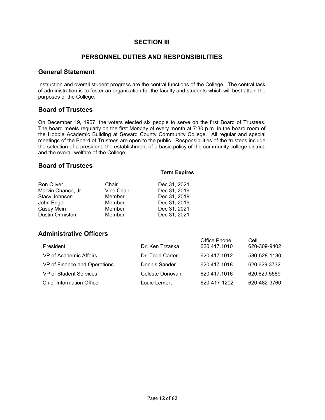## **SECTION III**

## **PERSONNEL DUTIES AND RESPONSIBILITIES**

## **General Statement**

Instruction and overall student progress are the central functions of the College. The central task of administration is to foster an organization for the faculty and students which will best attain the purposes of the College.

## **Board of Trustees**

On December 19, 1967, the voters elected six people to serve on the first Board of Trustees. The board meets regularly on the first Monday of every month at 7:30 p.m. in the board room of the Hobble Academic Building at Seward County Community College. All regular and special meetings of the Board of Trustees are open to the public. Responsibilities of the trustees include the selection of a president, the establishment of a basic policy of the community college district, and the overall welfare of the College.

## **Board of Trustees**

|                        |            | <b>Term Expires</b> |
|------------------------|------------|---------------------|
| <b>Ron Oliver</b>      | Chair      | Dec 31, 2021        |
| Marvin Chance, Jr.     | Vice Chair | Dec 31, 2019        |
| Stacy Johnson          | Member     | Dec 31, 2019        |
| John Engel             | Member     | Dec 31, 2019        |
| Casey Mein             | Member     | Dec 31, 2021        |
| <b>Dustin Ormiston</b> | Member     | Dec 31, 2021        |

## **Administrative Officers**

|                                  |                 | Office Phone | <u>Cell</u>  |
|----------------------------------|-----------------|--------------|--------------|
| President                        | Dr. Ken Trzaska | 620.417.1010 | 620-309-9402 |
| VP of Academic Affairs           | Dr. Todd Carter | 620.417.1012 | 580-528-1130 |
| VP of Finance and Operations     | Dennis Sander   | 620.417.1018 | 620.629.3732 |
| VP of Student Services           | Celeste Donovan | 620.417.1016 | 620.629.5589 |
| <b>Chief Information Officer</b> | Louie Lemert    | 620-417-1202 | 620-482-3760 |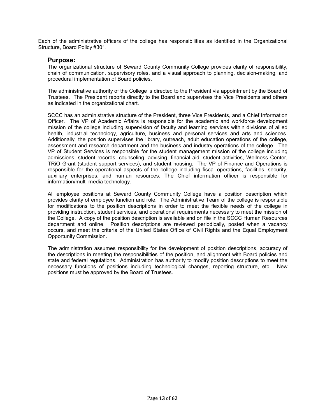Each of the administrative officers of the college has responsibilities as identified in the Organizational Structure, Board Policy #301.

#### **Purpose:**

The organizational structure of Seward County Community College provides clarity of responsibility, chain of communication, supervisory roles, and a visual approach to planning, decision-making, and procedural implementation of Board policies.

The administrative authority of the College is directed to the President via appointment by the Board of Trustees. The President reports directly to the Board and supervises the Vice Presidents and others as indicated in the organizational chart.

SCCC has an administrative structure of the President, three Vice Presidents, and a Chief Information Officer. The VP of Academic Affairs is responsible for the academic and workforce development mission of the college including supervision of faculty and learning services within divisions of allied health, industrial technology, agriculture, business and personal services and arts and sciences. Additionally, the position supervises the library, outreach, adult education operations of the college, assessment and research department and the business and industry operations of the college. The VP of Student Services is responsible for the student management mission of the college including admissions, student records, counseling, advising, financial aid, student activities, Wellness Center, TRiO Grant (student support services), and student housing. The VP of Finance and Operations is responsible for the operational aspects of the college including fiscal operations, facilities, security, auxiliary enterprises, and human resources. The Chief information officer is responsible for information/multi-media technology.

All employee positions at Seward County Community College have a position description which provides clarity of employee function and role. The Administrative Team of the college is responsible for modifications to the position descriptions in order to meet the flexible needs of the college in providing instruction, student services, and operational requirements necessary to meet the mission of the College. A copy of the position description is available and on file in the SCCC Human Resources department and online. Position descriptions are reviewed periodically, posted when a vacancy occurs, and meet the criteria of the United States Office of Civil Rights and the Equal Employment Opportunity Commission.

The administration assumes responsibility for the development of position descriptions, accuracy of the descriptions in meeting the responsibilities of the position, and alignment with Board policies and state and federal regulations. Administration has authority to modify position descriptions to meet the necessary functions of positions including technological changes, reporting structure, etc. New positions must be approved by the Board of Trustees.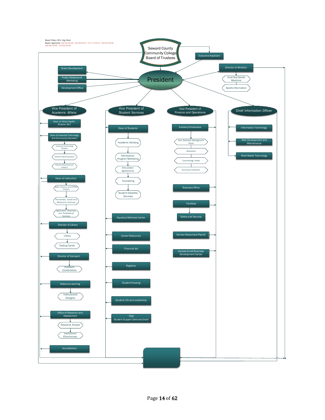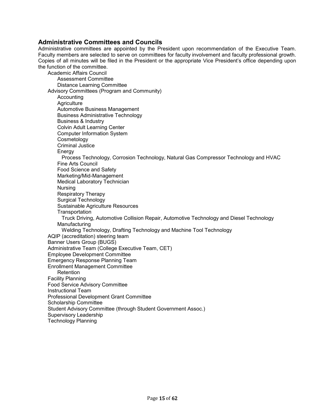## **Administrative Committees and Councils**

Administrative committees are appointed by the President upon recommendation of the Executive Team. Faculty members are selected to serve on committees for faculty involvement and faculty professional growth. Copies of all minutes will be filed in the President or the appropriate Vice President's office depending upon the function of the committee.

Academic Affairs Council Assessment Committee Distance Learning Committee Advisory Committees (Program and Community) **Accounting Agriculture** Automotive Business Management Business Administrative Technology Business & Industry Colvin Adult Learning Center Computer Information System **Cosmetology** Criminal Justice Energy Process Technology, Corrosion Technology, Natural Gas Compressor Technology and HVAC Fine Arts Council Food Science and Safety Marketing/Mid-Management Medical Laboratory Technician Nursing Respiratory Therapy Surgical Technology Sustainable Agriculture Resources **Transportation**  Truck Driving, Automotive Collision Repair, Automotive Technology and Diesel Technology Manufacturing Welding Technology, Drafting Technology and Machine Tool Technology AQIP (accreditation) steering team Banner Users Group (BUGS) Administrative Team (College Executive Team, CET) Employee Development Committee Emergency Response Planning Team Enrollment Management Committee **Retention** Facility Planning Food Service Advisory Committee Instructional Team Professional Development Grant Committee Scholarship Committee Student Advisory Committee (through Student Government Assoc.) Supervisory Leadership Technology Planning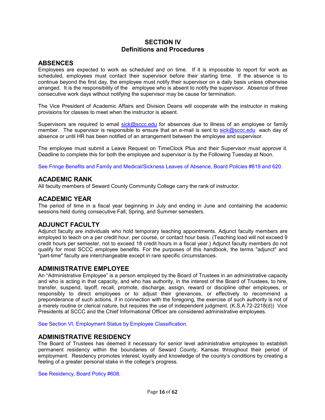## **SECTION IV Definitions and Procedures**

#### **ABSENCES**

Employees are expected to work as scheduled and on time. If it is impossible to report for work as scheduled, employees must contact their supervisor before their starting time. If the absence is to continue beyond the first day, the employee must notify their supervisor on a daily basis unless otherwise arranged. It is the responsibility of the employee who is absent to notify the supervisor. Absence of three consecutive work days without notifying the supervisor may be cause for termination.

The Vice President of Academic Affairs and Division Deans will cooperate with the instructor in making provisions for classes to meet when the instructor is absent.

Supervisors are required to email [sick@sccc.edu](mailto:sick@sccc.edu) for absences due to illness of an employee or family member. The supervisor is responsible to ensure that an e-mail is sent to [sick@sccc.edu](mailto:sick@sccc.edu) each day of absence or until HR has been notified of an arrangement between the employee and supervisor.

The employee must submit a Leave Request on TimeClock Plus and their Supervisor must approve it. Deadline to complete this for both the employee and supervisor is by the Following Tuesday at Noon.

See Fringe Benefits and Family and Medical/Sickness Leaves of Absence, Board Policies #619 and 620.

## **ACADEMIC RANK**

All faculty members of Seward County Community College carry the rank of instructor.

## **ACADEMIC YEAR**

The period of time in a fiscal year beginning in July and ending in June and containing the academic sessions held during consecutive Fall, Spring, and Summer semesters.

## **ADJUNCT FACULTY**

Adjunct faculty are individuals who hold temporary teaching appointments. Adjunct faculty members are employed to teach on a per credit hour, per course, or contact hour basis. (Teaching load will not exceed 9 credit hours per semester, not to exceed 18 credit hours in a fiscal year.) Adjunct faculty members do not qualify for most SCCC employee benefits. For the purposes of this handbook, the terms "adjunct" and "part-time" faculty are interchangeable except in rare specific circumstances.

#### **ADMINISTRATIVE EMPLOYEE**

An "Administrative Employee" is a person employed by the Board of Trustees in an administrative capacity and who is acting in that capacity, and who has authority, in the interest of the Board of Trustees, to hire, transfer, suspend, layoff, recall, promote, discharge, assign, reward or discipline other employees, or responsibly to direct employees or to adjust their grievances, or effectively to recommend a preponderance of such actions, if in connection with the foregoing, the exercise of such authority is not of a merely routine or clerical nature, but requires the use of independent judgment. (K.S.A.72-2218(d)) Vice Presidents at SCCC and the Chief Informational Officer are considered administrative employees.

See Section VI, Employment Status by Employee Classification.

#### **ADMINISTRATIVE RESIDENCY**

The Board of Trustees has deemed it necessary for senior level administrative employees to establish permanent residency within the boundaries of Seward County, Kansas throughout their period of employment. Residency promotes interest, loyalty and knowledge of the county's conditions by creating a feeling of a greater personal stake in the college's progress.

See Residency, Board Policy #608.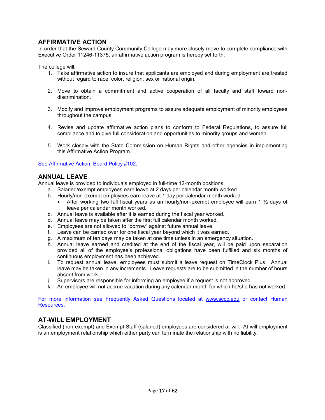## **AFFIRMATIVE ACTION**

In order that the Seward County Community College may more closely move to complete compliance with Executive Order 11246-11375, an affirmative action program is hereby set forth.

The college will:

- 1. Take affirmative action to insure that applicants are employed and during employment are treated without regard to race, color, religion, sex or national origin.
- 2. Move to obtain a commitment and active cooperation of all faculty and staff toward nondiscrimination.
- 3. Modify and improve employment programs to assure adequate employment of minority employees throughout the campus.
- 4. Revise and update affirmative action plans to conform to Federal Regulations, to assure full compliance and to give full consideration and opportunities to minority groups and women.
- 5. Work closely with the State Commission on Human Rights and other agencies in implementing this Affirmative Action Program.

See Affirmative Action, Board Policy #102.

## **ANNUAL LEAVE**

Annual leave is provided to individuals employed in full-time 12-month positions.

- a. Salaried/exempt employees earn leave at 2 days per calendar month worked.
- b. Hourly/non-exempt employees earn leave at 1 day per calendar month worked.
	- After working two full fiscal years as an hourly/non-exempt employee will earn 1  $\frac{1}{2}$  days of leave per calendar month worked.
- c. Annual leave is available after it is earned during the fiscal year worked.
- d. Annual leave may be taken after the first full calendar month worked.
- e. Employees are not allowed to "borrow" against future annual leave.
- f. Leave can be carried over for one fiscal year beyond which it was earned.
- g. A maximum of ten days may be taken at one time unless in an emergency situation.
- h. Annual leave earned and credited at the end of the fiscal year, will be paid upon separation provided all of the employee's professional obligations have been fulfilled and six months of continuous employment has been achieved.
- i. To request annual leave, employees must submit a leave request on TimeClock Plus. Annual leave may be taken in any increments. Leave requests are to be submitted in the number of hours absent from work.
- j. Supervisors are responsible for informing an employee if a request is not approved.
- k. An employee will not accrue vacation during any calendar month for which he/she has not worked.

For more information see Frequently Asked Questions located at [www.sccc.edu](http://www.sccc.edu/) or contact Human Resources.

## **AT-WILL EMPLOYMENT**

Classified (non-exempt) and Exempt Staff (salaried) employees are considered at-will. At-will employment is an employment relationship which either party can terminate the relationship with no liability.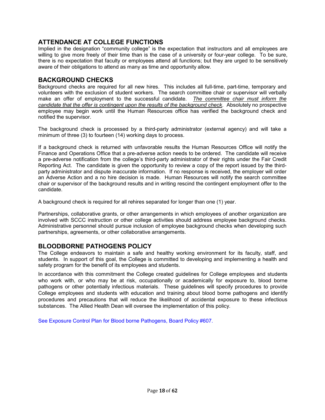## **ATTENDANCE AT COLLEGE FUNCTIONS**

Implied in the designation "community college" is the expectation that instructors and all employees are willing to give more freely of their time than is the case of a university or four-year college. To be sure, there is no expectation that faculty or employees attend all functions; but they are urged to be sensitively aware of their obligations to attend as many as time and opportunity allow.

## **BACKGROUND CHECKS**

Background checks are required for all new hires. This includes all full-time, part-time, temporary and volunteers with the exclusion of student workers. The search committee chair or supervisor will verbally make an offer of employment to the successful candidate. *The committee chair must inform the candidate that the offer is contingent upon the results of the background check*. Absolutely no prospective employee may begin work until the Human Resources office has verified the background check and notified the supervisor.

The background check is processed by a third-party administrator (external agency) and will take a minimum of three (3) to fourteen (14) working days to process.

If a background check is returned with unfavorable results the Human Resources Office will notify the Finance and Operations Office that a pre-adverse action needs to be ordered. The candidate will receive a pre-adverse notification from the college's third-party administrator of their rights under the Fair Credit Reporting Act. The candidate is given the opportunity to review a copy of the report issued by the thirdparty administrator and dispute inaccurate information. If no response is received, the employer will order an Adverse Action and a no hire decision is made. Human Resources will notify the search committee chair or supervisor of the background results and in writing rescind the contingent employment offer to the candidate.

A background check is required for all rehires separated for longer than one (1) year.

Partnerships, collaborative grants, or other arrangements in which employees of another organization are involved with SCCC instruction or other college activities should address employee background checks. Administrative personnel should pursue inclusion of employee background checks when developing such partnerships, agreements, or other collaborative arrangements.

## **BLOODBORNE PATHOGENS POLICY**

The College endeavors to maintain a safe and healthy working environment for its faculty, staff, and students. In support of this goal, the College is committed to developing and implementing a health and safety program for the benefit of its employees and students.

In accordance with this commitment the College created guidelines for College employees and students who work with, or who may be at risk, occupationally or academically for exposure to, blood borne pathogens or other potentially infectious materials. These guidelines will specify procedures to provide College employees and students with education and training about blood borne pathogens and identify procedures and precautions that will reduce the likelihood of accidental exposure to these infectious substances. The Allied Health Dean will oversee the implementation of this policy.

See Exposure Control Plan for Blood borne Pathogens, Board Policy #607.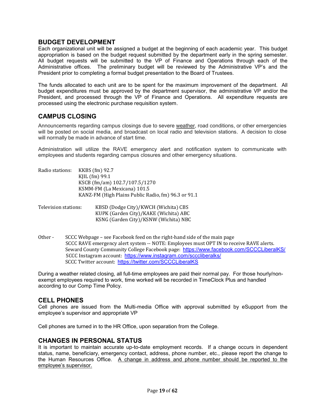## **BUDGET DEVELOPMENT**

Each organizational unit will be assigned a budget at the beginning of each academic year. This budget appropriation is based on the budget request submitted by the department early in the spring semester. All budget requests will be submitted to the VP of Finance and Operations through each of the Administrative offices. The preliminary budget will be reviewed by the Administrative VP's and the President prior to completing a formal budget presentation to the Board of Trustees.

The funds allocated to each unit are to be spent for the maximum improvement of the department. All budget expenditures must be approved by the department supervisor, the administrative VP and/or the President, and processed through the VP of Finance and Operations. All expenditure requests are processed using the electronic purchase requisition system.

## **CAMPUS CLOSING**

Announcements regarding campus closings due to severe weather, road conditions, or other emergencies will be posted on social media, and broadcast on local radio and television stations. A decision to close will normally be made in advance of start time.

Administration will utilize the RAVE emergency alert and notification system to communicate with employees and students regarding campus closures and other emergency situations.

- Radio stations: KKBS (fm) 92.7 KJIL (fm) 99.1 KSCB (fm/am) 102.7/107.5/1270 KSMM-FM (La Mexicana) 101.5 KANZ-FM (High Plains Public Radio, fm) 96.3 or 91.1
- Television stations: KBSD (Dodge City)/KWCH (Wichita) CBS KUPK (Garden City)/KAKE (Wichita) ABC KSNG (Garden City)/KSNW (Wichita) NBC
- Other SCCC Webpage see Facebook feed on the right-hand side of the main page SCCC RAVE emergency alert system -- NOTE: Employees must OPT IN to receive RAVE alerts. Seward County Community College Facebook page: <https://www.facebook.com/SCCCLiberalKS/> SCCC Instagram account: <https://www.instagram.com/scccliberalks/> SCCC Twitter account: <https://twitter.com/SCCCLiberalKS>

During a weather related closing, all full-time employees are paid their normal pay. For those hourly/nonexempt employees required to work, time worked will be recorded in TimeClock Plus and handled according to our Comp Time Policy.

## **CELL PHONES**

Cell phones are issued from the Multi-media Office with approval submitted by eSupport from the employee's supervisor and appropriate VP

Cell phones are turned in to the HR Office, upon separation from the College.

## **CHANGES IN PERSONAL STATUS**

It is important to maintain accurate up-to-date employment records. If a change occurs in dependent status, name, beneficiary, emergency contact, address, phone number, etc., please report the change to the Human Resources Office. A change in address and phone number should be reported to the employee's supervisor.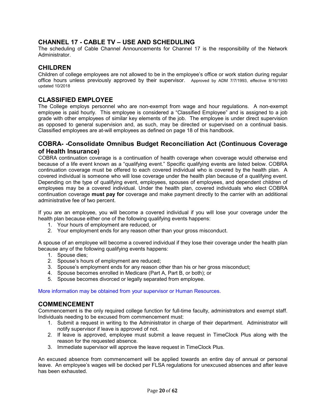## **CHANNEL 17 - CABLE TV – USE AND SCHEDULING**

The scheduling of Cable Channel Announcements for Channel 17 is the responsibility of the Network Administrator.

## **CHILDREN**

Children of college employees are not allowed to be in the employee's office or work station during regular office hours unless previously approved by their supervisor. Approved by ADM 7/7/1993, effective 8/16/1993 updated 10/2018

## **CLASSIFIED EMPLOYEE**

The College employs personnel who are non-exempt from wage and hour regulations. A non-exempt employee is paid hourly. This employee is considered a "Classified Employee" and is assigned to a job grade with other employees of similar key elements of the job. The employee is under direct supervision as opposed to general supervision and, as such, may be directed or supervised on a continual basis. Classified employees are at-will employees as defined on page 18 of this handbook.

## **COBRA- -Consolidate Omnibus Budget Reconciliation Act (Continuous Coverage of Health Insurance)**

COBRA continuation coverage is a continuation of health coverage when coverage would otherwise end because of a life event known as a "qualifying event." Specific qualifying events are listed below. COBRA continuation coverage must be offered to each covered individual who is covered by the health plan. A covered individual is someone who will lose coverage under the health plan because of a qualifying event. Depending on the type of qualifying event, employees, spouses of employees, and dependent children of employees may be a covered individual. Under the health plan, covered individuals who elect COBRA continuation coverage **must pay for** coverage and make payment directly to the carrier with an additional administrative fee of two percent.

If you are an employee, you will become a covered individual if you will lose your coverage under the health plan because either one of the following qualifying events happens:

- 1. Your hours of employment are reduced, or
- 2. Your employment ends for any reason other than your gross misconduct.

A spouse of an employee will become a covered individual if they lose their coverage under the health plan because any of the following qualifying events happens:

- 1. Spouse dies;
- 2. Spouse's hours of employment are reduced;
- 3. Spouse's employment ends for any reason other than his or her gross misconduct;
- 4. Spouse becomes enrolled in Medicare (Part A, Part B, or both); or
- 5. Spouse becomes divorced or legally separated from employee.

More information may be obtained from your supervisor or Human Resources.

## **COMMENCEMENT**

Commencement is the only required college function for full-time faculty, administrators and exempt staff. Individuals needing to be excused from commencement must:

- 1. Submit a request in writing to the Administrator in charge of their department. Administrator will notify supervisor if leave is approved of not.
- 2. If leave is approved, employee must submit a leave request in TimeClock Plus along with the reason for the requested absence.
- 3. Immediate supervisor will approve the leave request in TimeClock Plus.

An excused absence from commencement will be applied towards an entire day of annual or personal leave. An employee's wages will be docked per FLSA regulations for unexcused absences and after leave has been exhausted.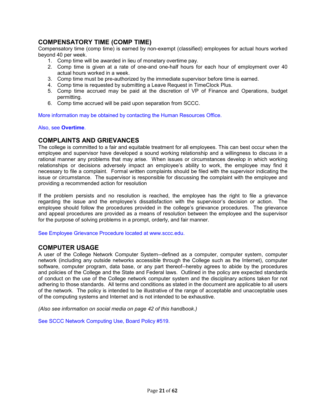## **COMPENSATORY TIME (COMP TIME)**

Compensatory time (comp time) is earned by non-exempt (classified) employees for actual hours worked beyond 40 per week.

- 1. Comp time will be awarded in lieu of monetary overtime pay.
- 2. Comp time is given at a rate of one-and one-half hours for each hour of employment over 40 actual hours worked in a week.
- 3. Comp time must be pre-authorized by the immediate supervisor before time is earned.
- 4. Comp time is requested by submitting a Leave Request in TimeClock Plus.
- 5. Comp time accrued may be paid at the discretion of VP of Finance and Operations, budget permitting.
- 6. Comp time accrued will be paid upon separation from SCCC.

More information may be obtained by contacting the Human Resources Office.

#### Also, see **Overtime**.

## **COMPLAINTS AND GRIEVANCES**

The college is committed to a fair and equitable treatment for all employees. This can best occur when the employee and supervisor have developed a sound working relationship and a willingness to discuss in a rational manner any problems that may arise. When issues or circumstances develop in which working relationships or decisions adversely impact an employee's ability to work, the employee may find it necessary to file a complaint. Formal written complaints should be filed with the supervisor indicating the issue or circumstance. The supervisor is responsible for discussing the complaint with the employee and providing a recommended action for resolution

If the problem persists and no resolution is reached, the employee has the right to file a grievance regarding the issue and the employee's dissatisfaction with the supervisor's decision or action. The employee should follow the procedures provided in the college's grievance procedures. The grievance and appeal procedures are provided as a means of resolution between the employee and the supervisor for the purpose of solving problems in a prompt, orderly, and fair manner.

See Employee Grievance Procedure located at www.sccc.edu.

## **COMPUTER USAGE**

A user of the College Network Computer System--defined as a computer, computer system, computer network (including any outside networks accessible through the College such as the Internet), computer software, computer program, data base, or any part thereof--hereby agrees to abide by the procedures and policies of the College and the State and Federal laws. Outlined in the policy are expected standards of conduct on the use of the College network computer system and the disciplinary actions taken for not adhering to those standards. All terms and conditions as stated in the document are applicable to all users of the network. The policy is intended to be illustrative of the range of acceptable and unacceptable uses of the computing systems and Internet and is not intended to be exhaustive.

*(Also see information on social media on page 42 of this handbook.)*

See SCCC Network Computing Use, Board Policy #519.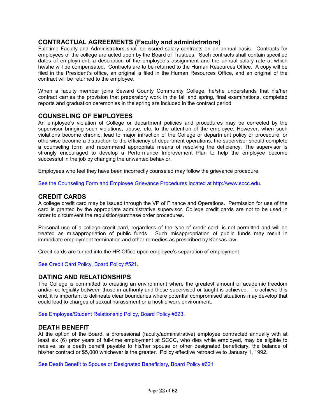## **CONTRACTUAL AGREEMENTS (Faculty and administrators)**

Full-time Faculty and Administrators shall be issued salary contracts on an annual basis. Contracts for employees of the college are acted upon by the Board of Trustees. Such contracts shall contain specified dates of employment, a description of the employee's assignment and the annual salary rate at which he/she will be compensated. Contracts are to be returned to the Human Resources Office. A copy will be filed in the President's office, an original is filed in the Human Resources Office, and an original of the contract will be returned to the employee.

When a faculty member joins Seward County Community College, he/she understands that his/her contract carries the provision that preparatory work in the fall and spring, final examinations, completed reports and graduation ceremonies in the spring are included in the contract period.

## **COUNSELING OF EMPLOYEES**

An employee's violation of College or department policies and procedures may be corrected by the supervisor bringing such violations, abuse, etc. to the attention of the employee. However, when such violations become chronic, lead to major infraction of the College or department policy or procedure, or otherwise become a distraction to the efficiency of department operations, the supervisor should complete a counseling form and recommend appropriate means of resolving the deficiency. The supervisor is strongly encouraged to develop a Performance Improvement Plan to help the employee become successful in the job by changing the unwanted behavior.

Employees who feel they have been incorrectly counseled may follow the grievance procedure.

See the Counseling Form and Employee Grievance Procedures located at http://www.sccc.edu.

## **CREDIT CARDS**

A college credit card may be issued through the VP of Finance and Operations. Permission for use of the card is granted by the appropriate administrative supervisor. College credit cards are not to be used in order to circumvent the requisition/purchase order procedures.

Personal use of a college credit card, regardless of the type of credit card, is not permitted and will be treated as misappropriation of public funds. Such misappropriation of public funds may result in immediate employment termination and other remedies as prescribed by Kansas law.

Credit cards are turned into the HR Office upon employee's separation of employment.

See Credit Card Policy, Board Policy #521.

## **DATING AND RELATIONSHIPS**

The College is committed to creating an environment where the greatest amount of academic freedom and/or collegiality between those in authority and those supervised or taught is achieved. To achieve this end, it is important to delineate clear boundaries where potential compromised situations may develop that could lead to charges of sexual harassment or a hostile work environment.

See Employee/Student Relationship Policy, Board Policy #623.

## **DEATH BENEFIT**

At the option of the Board, a professional (faculty/administrative) employee contracted annually with at least six (6) prior years of full-time employment at SCCC, who dies while employed, may be eligible to receive, as a death benefit payable to his/her spouse or other designated beneficiary, the balance of his/her contract or \$5,000 whichever is the greater. Policy effective retroactive to January 1, 1992.

See Death Benefit to Spouse or Designated Beneficiary, Board Policy #621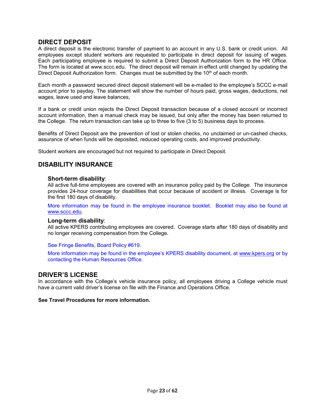## **DIRECT DEPOSIT**

A direct deposit is the electronic transfer of payment to an account in any U.S. bank or credit union. All employees except student workers are requested to participate in direct deposit for issuing of wages. Each participating employee is required to submit a Direct Deposit Authorization form to the HR Office. The form is located at www.sccc.edu. The direct deposit will remain in effect until changed by updating the Direct Deposit Authorization form. Changes must be submitted by the  $10<sup>th</sup>$  of each month.

Each month a password secured direct deposit statement will be e-mailed to the employee's SCCC e-mail account prior to payday. The statement will show the number of hours paid, gross wages, deductions, net wages, leave used and leave balances,

If a bank or credit union rejects the Direct Deposit transaction because of a closed account or incorrect account information, then a manual check may be issued, but only after the money has been returned to the College. The return transaction can take up to three to five (3 to 5) business days to process.

Benefits of Direct Deposit are the prevention of lost or stolen checks, no unclaimed or un-cashed checks, assurance of when funds will be deposited, reduced operating costs, and improved productivity.

Student workers are encouraged but not required to participate in Direct Deposit.

## **DISABILITY INSURANCE**

#### **Short-term disability**:

All active full-time employees are covered with an insurance policy paid by the College. The insurance provides 24-hour coverage for disabilities that occur because of accident or illness. Coverage is for the first 180 days of disability.

More information may be found in the employee insurance booklet. Booklet may also be found at [www.sccc.edu.](http://www.sccc.edu/)

#### **Long-term disability**:

All active KPERS contributing employees are covered. Coverage starts after 180 days of disability and no longer receiving compensation from the College.

See Fringe Benefits, Board Policy #619.

More information may be found in the employee's KPERS disability document, at [www.kpers.org](http://www.kpers.org/) or by contacting the Human Resources Office.

## **DRIVER'S LICENSE**

In accordance with the College's vehicle insurance policy, all employees driving a College vehicle must have a current valid driver's license on file with the Finance and Operations Office.

#### **See Travel Procedures for more information.**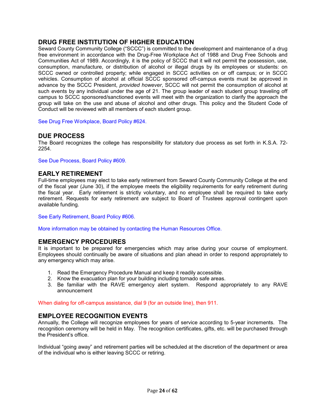## **DRUG FREE INSTITUTION OF HIGHER EDUCATION**

Seward County Community College ("SCCC") is committed to the development and maintenance of a drug free environment in accordance with the Drug-Free Workplace Act of 1988 and Drug Free Schools and Communities Act of 1989. Accordingly, it is the policy of SCCC that it will not permit the possession, use, consumption, manufacture, or distribution of alcohol or illegal drugs by its employees or students: on SCCC owned or controlled property; while engaged in SCCC activities on or off campus; or in SCCC vehicles. Consumption of alcohol at official SCCC sponsored off-campus events must be approved in advance by the SCCC President, *provided however*, SCCC will not permit the consumption of alcohol at such events by any individual under the age of 21. The group leader of each student group traveling off campus to SCCC sponsored/sanctioned events will meet with the organization to clarify the approach the group will take on the use and abuse of alcohol and other drugs. This policy and the Student Code of Conduct will be reviewed with all members of each student group.

See Drug Free Workplace, Board Policy #624.

## **DUE PROCESS**

The Board recognizes the college has responsibility for statutory due process as set forth in K.S.A. 72- 2254.

See Due Process, Board Policy #609.

#### **EARLY RETIREMENT**

Full-time employees may elect to take early retirement from Seward County Community College at the end of the fiscal year (June 30), if the employee meets the eligibility requirements for early retirement during the fiscal year. Early retirement is strictly voluntary, and no employee shall be required to take early retirement. Requests for early retirement are subject to Board of Trustees approval contingent upon available funding.

See Early Retirement, Board Policy #606.

More information may be obtained by contacting the Human Resources Office.

## **EMERGENCY PROCEDURES**

It is important to be prepared for emergencies which may arise during your course of employment. Employees should continually be aware of situations and plan ahead in order to respond appropriately to any emergency which may arise.

- 1. Read the Emergency Procedure Manual and keep it readily accessible.
- 2. Know the evacuation plan for your building including tornado safe areas.
- 3. Be familiar with the RAVE emergency alert system. Respond appropriately to any RAVE announcement

When dialing for off-campus assistance, dial 9 (for an outside line), then 911.

## **EMPLOYEE RECOGNITION EVENTS**

Annually, the College will recognize employees for years of service according to 5-year increments. The recognition ceremony will be held in May. The recognition certificates, gifts, etc. will be purchased through the President's office.

Individual "going away" and retirement parties will be scheduled at the discretion of the department or area of the individual who is either leaving SCCC or retiring.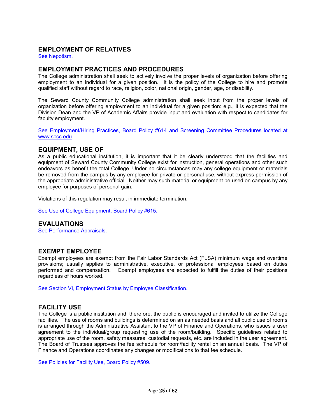## **EMPLOYMENT OF RELATIVES**

See Nepotism.

## **EMPLOYMENT PRACTICES AND PROCEDURES**

The College administration shall seek to actively involve the proper levels of organization before offering employment to an individual for a given position. It is the policy of the College to hire and promote qualified staff without regard to race, religion, color, national origin, gender, age, or disability.

The Seward County Community College administration shall seek input from the proper levels of organization before offering employment to an individual for a given position: e.g., it is expected that the Division Dean and the VP of Academic Affairs provide input and evaluation with respect to candidates for faculty employment.

See Employment/Hiring Practices, Board Policy #614 and Screening Committee Procedures located at [www.sccc.edu.](http://www.sccc.edu/)

## **EQUIPMENT, USE OF**

As a public educational institution, it is important that it be clearly understood that the facilities and equipment of Seward County Community College exist for instruction, general operations and other such endeavors as benefit the total College. Under no circumstances may any college equipment or materials be removed from the campus by any employee for private or personal use, without express permission of the appropriate administrative official. Neither may such material or equipment be used on campus by any employee for purposes of personal gain.

Violations of this regulation may result in immediate termination.

See Use of College Equipment, Board Policy #615.

## **EVALUATIONS**

See Performance Appraisals.

## **EXEMPT EMPLOYEE**

Exempt employees are exempt from the Fair Labor Standards Act (FLSA) minimum wage and overtime provisions; usually applies to administrative, executive, or professional employees based on duties performed and compensation. Exempt employees are expected to fulfill the duties of their positions regardless of hours worked.

See Section VI, Employment Status by Employee Classification.

## **FACILITY USE**

The College is a public institution and, therefore, the public is encouraged and invited to utilize the College facilities. The use of rooms and buildings is determined on an as needed basis and all public use of rooms is arranged through the Administrative Assistant to the VP of Finance and Operations, who issues a user agreement to the individual/group requesting use of the room/building. Specific guidelines related to appropriate use of the room, safety measures, custodial requests, etc. are included in the user agreement. The Board of Trustees approves the fee schedule for room/facility rental on an annual basis. The VP of Finance and Operations coordinates any changes or modifications to that fee schedule.

See Policies for Facility Use, Board Policy #509.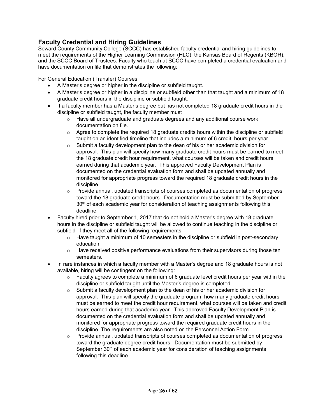# **Faculty Credential and Hiring Guidelines**

Seward County Community College (SCCC) has established faculty credential and hiring guidelines to meet the requirements of the Higher Learning Commission (HLC), the Kansas Board of Regents (KBOR), and the SCCC Board of Trustees. Faculty who teach at SCCC have completed a credential evaluation and have documentation on file that demonstrates the following:

For General Education (Transfer) Courses

- A Master's degree or higher in the discipline or subfield taught.
- A Master's degree or higher in a discipline or subfield other than that taught and a minimum of 18 graduate credit hours in the discipline or subfield taught.
- If a faculty member has a Master's degree but has not completed 18 graduate credit hours in the discipline or subfield taught, the faculty member must
	- $\circ$  Have all undergraduate and graduate degrees and any additional course work documentation on file.
	- $\circ$  Agree to complete the required 18 graduate credits hours within the discipline or subfield taught on an identified timeline that includes a minimum of 6 credit hours per year.
	- $\circ$  Submit a faculty development plan to the dean of his or her academic division for approval. This plan will specify how many graduate credit hours must be earned to meet the 18 graduate credit hour requirement, what courses will be taken and credit hours earned during that academic year. This approved Faculty Development Plan is documented on the credential evaluation form and shall be updated annually and monitored for appropriate progress toward the required 18 graduate credit hours in the discipline.
	- $\circ$  Provide annual, updated transcripts of courses completed as documentation of progress toward the 18 graduate credit hours. Documentation must be submitted by September 30<sup>th</sup> of each academic year for consideration of teaching assignments following this deadline.
- Faculty hired prior to September 1, 2017 that do not hold a Master's degree with 18 graduate hours in the discipline or subfield taught will be allowed to continue teaching in the discipline or subfield if they meet all of the following requirements:
	- $\circ$  Have taught a minimum of 10 semesters in the discipline or subfield in post-secondary education.
	- $\circ$  Have received positive performance evaluations from their supervisors during those ten semesters.
- In rare instances in which a faculty member with a Master's degree and 18 graduate hours is not available, hiring will be contingent on the following:
	- $\circ$  Faculty agrees to complete a minimum of 6 graduate level credit hours per year within the discipline or subfield taught until the Master's degree is completed.
	- $\circ$  Submit a faculty development plan to the dean of his or her academic division for approval. This plan will specify the graduate program, how many graduate credit hours must be earned to meet the credit hour requirement, what courses will be taken and credit hours earned during that academic year. This approved Faculty Development Plan is documented on the credential evaluation form and shall be updated annually and monitored for appropriate progress toward the required graduate credit hours in the discipline. The requirements are also noted on the Personnel Action Form.
	- $\circ$  Provide annual, updated transcripts of courses completed as documentation of progress toward the graduate degree credit hours. Documentation must be submitted by September 30<sup>th</sup> of each academic year for consideration of teaching assignments following this deadline.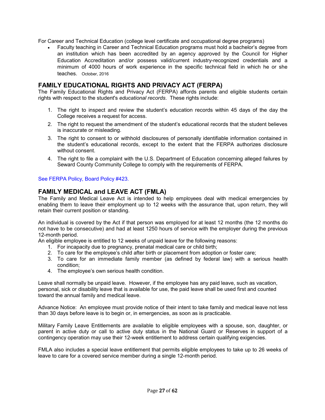For Career and Technical Education (college level certificate and occupational degree programs)

• Faculty teaching in Career and Technical Education programs must hold a bachelor's degree from an institution which has been accredited by an agency approved by the Council for Higher Education Accreditation and/or possess valid/current industry-recognized credentials and a minimum of 4000 hours of work experience in the specific technical field in which he or she teaches. October, 2016

## **FAMILY EDUCATIONAL RIGHTS AND PRIVACY ACT (FERPA)**

The Family Educational Rights and Privacy Act (FERPA) affords parents and eligible students certain rights with respect to the student's *educational records*. These rights include:

- 1. The right to inspect and review the student's education records within 45 days of the day the College receives a request for access.
- 2. The right to request the amendment of the student's educational records that the student believes is inaccurate or misleading.
- 3. The right to consent to or withhold disclosures of personally identifiable information contained in the student's educational records, except to the extent that the FERPA authorizes disclosure without consent.
- 4. The right to file a complaint with the U.S. Department of Education concerning alleged failures by Seward County Community College to comply with the requirements of FERPA.

#### See FERPA Policy, Board Policy #423.

## **FAMILY MEDICAL and LEAVE ACT (FMLA)**

The Family and Medical Leave Act is intended to help employees deal with medical emergencies by enabling them to leave their employment up to 12 weeks with the assurance that, upon return, they will retain their current position or standing.

An individual is covered by the Act if that person was employed for at least 12 months (the 12 months do not have to be consecutive) and had at least 1250 hours of service with the employer during the previous 12-month period.

An eligible employee is entitled to 12 weeks of unpaid leave for the following reasons:

- 1. For incapacity due to pregnancy, prenatal medical care or child birth;
- 2. To care for the employee's child after birth or placement from adoption or foster care;
- 3. To care for an immediate family member (as defined by federal law) with a serious health condition;
- 4. The employee's own serious health condition.

Leave shall normally be unpaid leave. However, if the employee has any paid leave, such as vacation, personal, sick or disability leave that is available for use, the paid leave shall be used first and counted toward the annual family and medical leave.

Advance Notice: An employee must provide notice of their intent to take family and medical leave not less than 30 days before leave is to begin or, in emergencies, as soon as is practicable.

Military Family Leave Entitlements are available to eligible employees with a spouse, son, daughter, or parent in active duty or call to active duty status in the National Guard or Reserves in support of a contingency operation may use their 12-week entitlement to address certain qualifying exigencies.

FMLA also includes a special leave entitlement that permits eligible employees to take up to 26 weeks of leave to care for a covered service member during a single 12-month period.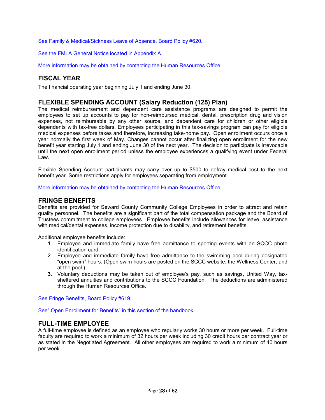See Family & Medical/Sickness Leave of Absence, Board Policy #620.

See the FMLA General Notice located in Appendix A.

More information may be obtained by contacting the Human Resources Office.

## **FISCAL YEAR**

The financial operating year beginning July 1 and ending June 30.

## **FLEXIBLE SPENDING ACCOUNT (Salary Reduction (125) Plan)**

The medical reimbursement and dependent care assistance programs are designed to permit the employees to set up accounts to pay for non-reimbursed medical, dental, prescription drug and vision expenses, not reimbursable by any other source, and dependent care for children or other eligible dependents with tax-free dollars. Employees participating in this tax-savings program can pay for eligible medical expenses before taxes and therefore, increasing take-home pay. Open enrollment occurs once a year normally the first week of May. Changes cannot occur after finalizing open enrollment for the new benefit year starting July 1 and ending June 30 of the next year. The decision to participate is irrevocable until the next open enrollment period unless the employee experiences a qualifying event under Federal Law.

Flexible Spending Account participants may carry over up to \$500 to defray medical cost to the next benefit year. Some restrictions apply for employees separating from employment.

More information may be obtained by contacting the Human Resources Office.

## **FRINGE BENEFITS**

Benefits are provided for Seward County Community College Employees in order to attract and retain quality personnel. The benefits are a significant part of the total compensation package and the Board of Trustees commitment to college employees. Employee benefits include allowances for leave, assistance with medical/dental expenses, income protection due to disability, and retirement benefits.

Additional employee benefits include:

- 1. Employee and immediate family have free admittance to sporting events with an SCCC photo identification card.
- 2. Employee and immediate family have free admittance to the swimming pool during designated "open swim" hours. (Open swim hours are posted on the SCCC website, the Wellness Center, and at the pool.)
- **3.** Voluntary deductions may be taken out of employee's pay, such as savings, United Way, taxsheltered annuities and contributions to the SCCC Foundation. The deductions are administered through the Human Resources Office.

See Fringe Benefits, Board Policy #619.

See" Open Enrollment for Benefits" in this section of the handbook.

## **FULL-TIME EMPLOYEE**

A full-time employee is defined as an employee who regularly works 30 hours or more per week. Full-time faculty are required to work a minimum of 32 hours per week including 30 credit hours per contract year or as stated in the Negotiated Agreement. All other employees are required to work a minimum of 40 hours per week.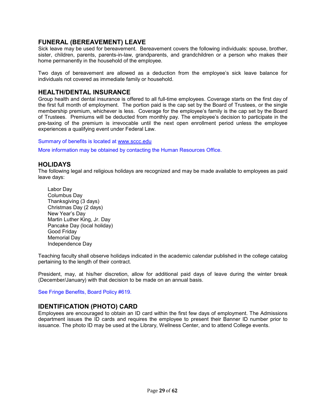## **FUNERAL (BEREAVEMENT) LEAVE**

Sick leave may be used for bereavement. Bereavement covers the following individuals: spouse, brother, sister, children, parents, parents-in-law, grandparents, and grandchildren or a person who makes their home permanently in the household of the employee*.*

Two days of bereavement are allowed as a deduction from the employee's sick leave balance for individuals not covered as immediate family or household.

## **HEALTH/DENTAL INSURANCE**

Group health and dental insurance is offered to all full-time employees. Coverage starts on the first day of the first full month of employment. The portion paid is the cap set by the Board of Trustees, or the single membership premium, whichever is less. Coverage for the employee's family is the cap set by the Board of Trustees. Premiums will be deducted from monthly pay. The employee's decision to participate in the pre-taxing of the premium is irrevocable until the next open enrollment period unless the employee experiences a qualifying event under Federal Law.

Summary of benefits is located at www.sccc.edu

More information may be obtained by contacting the Human Resources Office.

## **HOLIDAYS**

The following legal and religious holidays are recognized and may be made available to employees as paid leave days:

Labor Day Columbus Day Thanksgiving (3 days) Christmas Day (2 days) New Year's Day Martin Luther King, Jr. Day Pancake Day (local holiday) Good Friday Memorial Day Independence Day

Teaching faculty shall observe holidays indicated in the academic calendar published in the college catalog pertaining to the length of their contract.

President, may, at his/her discretion, allow for additional paid days of leave during the winter break (December/January) with that decision to be made on an annual basis.

See Fringe Benefits, Board Policy #619.

#### **IDENTIFICATION (PHOTO) CARD**

Employees are encouraged to obtain an ID card within the first few days of employment. The Admissions department issues the ID cards and requires the employee to present their Banner ID number prior to issuance. The photo ID may be used at the Library, Wellness Center, and to attend College events.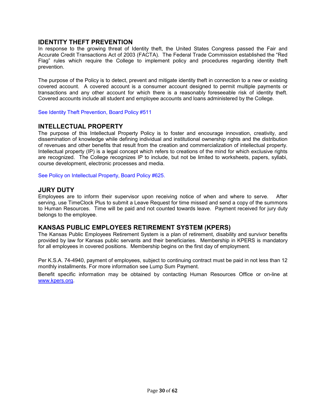## **IDENTITY THEFT PREVENTION**

In response to the growing threat of Identity theft, the United States Congress passed the Fair and Accurate Credit Transactions Act of 2003 (FACTA). The Federal Trade Commission established the "Red Flag" rules which require the College to implement policy and procedures regarding identity theft prevention.

The purpose of the Policy is to detect, prevent and mitigate identity theft in connection to a new or existing covered account. A covered account is a consumer account designed to permit multiple payments or transactions and any other account for which there is a reasonably foreseeable risk of identity theft. Covered accounts include all student and employee accounts and loans administered by the College.

See Identity Theft Prevention, Board Policy #511

## **INTELLECTUAL PROPERTY**

The purpose of this Intellectual Property Policy is to foster and encourage innovation, creativity, and dissemination of knowledge while defining individual and institutional ownership rights and the distribution of revenues and other benefits that result from the creation and commercialization of intellectual property. Intellectual property (IP) is a legal concept which refers to creations of the mind for which exclusive rights are recognized. The College recognizes IP to include, but not be limited to worksheets, papers, syllabi, course development, electronic processes and media.

See Policy on Intellectual Property, Board Policy #625.

## **JURY DUTY**

Employees are to inform their supervisor upon receiving notice of when and where to serve. After serving, use TimeClock Plus to submit a Leave Request for time missed and send a copy of the summons to Human Resources. Time will be paid and not counted towards leave. Payment received for jury duty belongs to the employee.

## **KANSAS PUBLIC EMPLOYEES RETIREMENT SYSTEM (KPERS)**

The Kansas Public Employees Retirement System is a plan of retirement, disability and survivor benefits provided by law for Kansas public servants and their beneficiaries. Membership in KPERS is mandatory for all employees in covered positions. Membership begins on the first day of employment.

Per K.S.A. 74-4940, payment of employees, subject to continuing contract must be paid in not less than 12 monthly installments. For more information see Lump Sum Payment.

Benefit specific information may be obtained by contacting Human Resources Office or on-line at [www.kpers.org.](http://www.kpers.org/)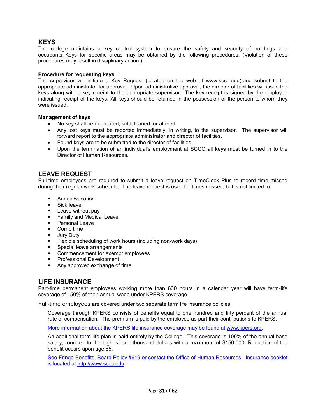## **KEYS**

The college maintains a key control system to ensure the safety and security of buildings and occupants. Keys for specific areas may be obtained by the following procedures: (Violation of these procedures may result in disciplinary action.).

#### **Procedure for requesting keys**

The supervisor will initiate a Key Request (located on the web at www.sccc.edu) and submit to the appropriate administrator for approval. Upon administrative approval, the director of facilities will issue the keys along with a key receipt to the appropriate supervisor. The key receipt is signed by the employee indicating receipt of the keys. All keys should be retained in the possession of the person to whom they were issued.

#### **Management of keys**

- No key shall be duplicated, sold, loaned, or altered.
- Any lost keys must be reported immediately, in writing, to the supervisor. The supervisor will forward report to the appropriate administrator and director of facilities.
- Found keys are to be submitted to the director of facilities.
- Upon the termination of an individual's employment at SCCC all keys must be turned in to the Director of Human Resources.

## **LEAVE REQUEST**

Full-time employees are required to submit a leave request on TimeClock Plus to record time missed during their regular work schedule. The leave request is used for times missed, but is not limited to:

- Annual/vacation
- Sick leave
- **Leave without pay**
- **Family and Medical Leave**
- **Personal Leave**
- Comp time
- **Jury Duty**
- **Filexible scheduling of work hours (including non-work days)**
- **Special leave arrangements**
- **•** Commencement for exempt employees
- **Professional Development**
- **Any approved exchange of time**

## **LIFE INSURANCE**

Part-time permanent employees working more than 630 hours in a calendar year will have term-life coverage of 150% of their annual wage under KPERS coverage.

Full-time employees are covered under two separate term life insurance policies.

Coverage through KPERS consists of benefits equal to one hundred and fifty percent of the annual rate of compensation. The premium is paid by the employee as part their contributions to KPERS.

More information about the KPERS life insurance coverage may be found at [www.kpers.org.](http://www.kpers.org/)

An additional term-life plan is paid entirely by the College. This coverage is 100% of the annual base salary, rounded to the highest one thousand dollars with a maximum of \$150,000. Reduction of the benefit occurs upon age 65.

See Fringe Benefits, Board Policy #619 or contact the Office of Human Resources. Insurance booklet is located at http://www.sccc.edu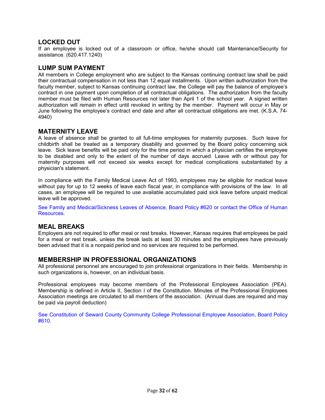## **LOCKED OUT**

If an employee is locked out of a classroom or office, he/she should call Maintenance/Security for assistance. (620.417.1240)

## **LUMP SUM PAYMENT**

All members in College employment who are subject to the Kansas continuing contract law shall be paid their contractual compensation in not less than 12 equal installments. Upon written authorization from the faculty member, subject to Kansas continuing contract law, the College will pay the balance of employee's contract in one payment upon completion of all contractual obligations. The authorization from the faculty member must be filed with Human Resources not later than April 1 of the school year. A signed written authorization will remain in effect until revoked in writing by the member. Payment will occur in May or June following the employee's contract end date and after all contractual obligations are met. (K.S.A. 74- 4940)

## **MATERNITY LEAVE**

A leave of absence shall be granted to all full-time employees for maternity purposes. Such leave for childbirth shall be treated as a temporary disability and governed by the Board policy concerning sick leave. Sick leave benefits will be paid only for the time period in which a physician certifies the employee to be disabled and only to the extent of the number of days accrued. Leave with or without pay for maternity purposes will not exceed six weeks except for medical complications substantiated by a physician's statement.

In compliance with the Family Medical Leave Act of 1993, employees may be eligible for medical leave without pay for up to 12 weeks of leave each fiscal year, in compliance with provisions of the law. In all cases, an employee will be required to use available accumulated paid sick leave before unpaid medical leave will be approved.

See Family and Medical/Sickness Leaves of Absence, Board Policy #620 or contact the Office of Human Resources.

## **MEAL BREAKS**

Employers are not required to offer meal or rest breaks. However, Kansas requires that employees be paid for a meal or rest break, unless the break lasts at least 30 minutes and the employees have previously been advised that it is a nonpaid period and no services are required to be performed.

## **MEMBERSHIP IN PROFESSIONAL ORGANIZATIONS**

All professional personnel are encouraged to join professional organizations in their fields. Membership in such organizations is, however, on an individual basis.

Professional employees may become members of the Professional Employees Association (PEA). Membership is defined in Article II, Section I of the Constitution. Minutes of the Professional Employees Association meetings are circulated to all members of the association. (Annual dues are required and may be paid via payroll deduction)

See Constitution of Seward County Community College Professional Employee Association, Board Policy #610.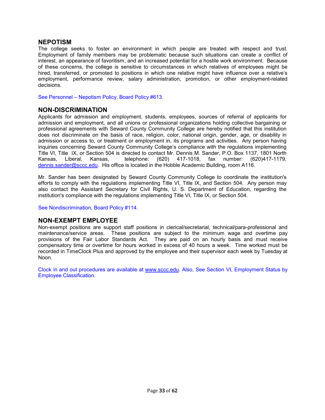## **NEPOTISM**

The college seeks to foster an environment in which people are treated with respect and trust. Employment of family members may be problematic because such situations can create a conflict of interest, an appearance of favoritism, and an increased potential for a hostile work environment. Because of these concerns, the college is sensitive to circumstances in which relatives of employees might be hired, transferred, or promoted to positions in which one relative might have influence over a relative's employment, performance review, salary administration, promotion, or other employment-related decisions.

See Personnel – Nepotism Policy, Board Policy #613.

#### **NON-DISCRIMINATION**

Applicants for admission and employment, students, employees, sources of referral of applicants for admission and employment, and all unions or professional organizations holding collective bargaining or professional agreements with Seward County Community College are hereby notified that this institution does not discriminate on the basis of race, religion, color, national origin, gender, age, or disability in admission or access to, or treatment or employment in, its programs and activities. Any person having inquiries concerning Seward County Community College's compliance with the regulations implementing Title VI, Title IX, or Section 504 is directed to contact Mr. Dennis M. Sander, P.O. Box 1137, 1801 North Kansas, Liberal, Kansas, telephone: (620) 417-1018, fax number: (620)417-1179, [dennis.sander@sccc.edu.](mailto:dennis.sander@sccc.edu) His office is located in the Hobble Academic Building, room A116.

Mr. Sander has been designated by Seward County Community College to coordinate the institution's efforts to comply with the regulations implementing Title VI, Title IX, and Section 504. Any person may also contact the Assistant Secretary for Civil Rights, U. S. Department of Education, regarding the institution's compliance with the regulations implementing Title VI, Title IX, or Section 504.

See Nondiscrimination, Board Policy #114.

#### **NON-EXEMPT EMPLOYEE**

Non-exempt positions are support staff positions in clerical/secretarial, technical/para-professional and maintenance/service areas. These positions are subject to the minimum wage and overtime pay provisions of the Fair Labor Standards Act. They are paid on an hourly basis and must receive compensatory time or overtime for hours worked in excess of 40 hours a week. Time worked must be recorded in TimeClock Plus and approved by the employee and their supervisor each week by Tuesday at Noon.

Clock in and out procedures are available at [www.sccc.edu.](http://www.sccc.edu/) Also, See Section VI, Employment Status by Employee Classification.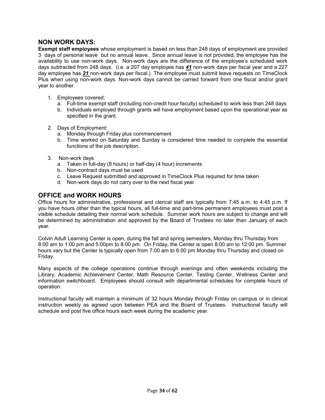## **NON WORK DAYS:**

**Exempt staff employees** whose employment is based on less than 248 days of employment are provided 3 days of personal leave but no annual leave. Since annual leave is not provided, the employee has the availability to use non-work days. Non-work days are the difference of the employee's scheduled work days subtracted from 248 days. (i.e. a 207 day employee has *41* non-work days per fiscal year and a 227 day employee has *21* non-work days per fiscal.) The employee must submit leave requests on TimeClock Plus when using non-work days. Non-work days cannot be carried forward from one fiscal and/or grant year to another.

- 1. Employees covered:
	- a. Full-time exempt staff (including non-credit hour faculty) scheduled to work less than 248 days
	- b. Individuals employed through grants will have employment based upon the operational year as specified in the grant.
- 2. Days of Employment:
	- a. Monday through Friday plus commencement
	- b. Time worked on Saturday and Sunday is considered time needed to complete the essential functions of the job description.
- 3. Non-work days
	- a. Taken in full-day (8 hours) or half-day (4 hour) increments
	- b. Non-contract days must be used
	- c. Leave Request submitted and approved in TimeClock Plus required for time taken
	- d. Non-work days do not carry over to the next fiscal year

## **OFFICE and WORK HOURS**

Office hours for administrative, professional and clerical staff are typically from 7:45 a.m. to 4:45 p.m. If you have hours other than the typical hours, all full-time and part-time permanent employees must post a visible schedule detailing their normal work schedule. Summer work hours are subject to change and will be determined by administration and approved by the Board of Trustees no later than January of each year.

Colvin Adult Learning Center is open, during the fall and spring semesters, Monday thru Thursday from 8:00 am to 1:00 pm and 5:00pm to 8:00 pm. On Friday, the Center is open 8:00 am to 12:00 pm. Summer hours vary but the Center is typically open from 7:00 am to 6:00 pm Monday thru Thursday and closed on Friday.

Many aspects of the college operations continue through evenings and often weekends including the Library, Academic Achievement Center, Math Resource Center, Testing Center, Wellness Center and information switchboard. Employees should consult with departmental schedules for complete hours of operation.

Instructional faculty will maintain a minimum of 32 hours Monday through Friday on campus or in clinical instruction weekly as agreed upon between PEA and the Board of Trustees. Instructional faculty will schedule and post five office hours each week during the academic year.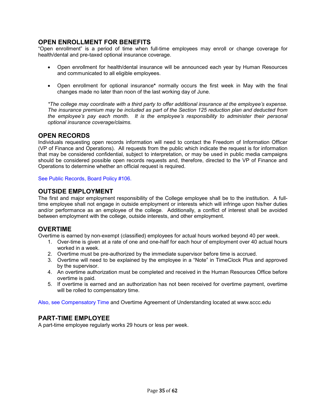## **OPEN ENROLLMENT FOR BENEFITS**

"Open enrollment" is a period of time when full-time employees may enroll or change coverage for health/dental and pre-taxed optional insurance coverage.

- Open enrollment for health/dental insurance will be announced each year by Human Resources and communicated to all eligible employees.
- Open enrollment for optional insurance**\*** normally occurs the first week in May with the final changes made no later than noon of the last working day of June.

*\*The college may coordinate with a third party to offer additional insurance at the employee's expense. The insurance premium may be included as part of the Section 125 reduction plan and deducted from the employee's pay each month. It is the employee's responsibility to administer their personal optional insurance coverage/claims.*

## **OPEN RECORDS**

Individuals requesting open records information will need to contact the Freedom of Information Officer (VP of Finance and Operations). All requests from the public which indicate the request is for information that may be considered confidential, subject to interpretation, or may be used in public media campaigns should be considered possible open records requests and, therefore, directed to the VP of Finance and Operations to determine whether an official request is required.

See Public Records, Board Policy #106.

## **OUTSIDE EMPLOYMENT**

The first and major employment responsibility of the College employee shall be to the institution. A fulltime employee shall not engage in outside employment or interests which will infringe upon his/her duties and/or performance as an employee of the college. Additionally, a conflict of interest shall be avoided between employment with the college, outside interests, and other employment.

## **OVERTIME**

Overtime is earned by non-exempt (classified) employees for actual hours worked beyond 40 per week.

- 1. Over-time is given at a rate of one and one-half for each hour of employment over 40 actual hours worked in a week.
- 2. Overtime must be pre-authorized by the immediate supervisor before time is accrued.
- 3. Overtime will need to be explained by the employee in a "Note" in TimeClock Plus and approved by the supervisor.
- 4. An overtime authorization must be completed and received in the Human Resources Office before overtime is paid.
- 5. If overtime is earned and an authorization has not been received for overtime payment, overtime will be rolled to compensatory time.

Also, see Compensatory Time and Overtime Agreement of Understanding located at www.sccc.edu

## **PART-TIME EMPLOYEE**

A part-time employee regularly works 29 hours or less per week.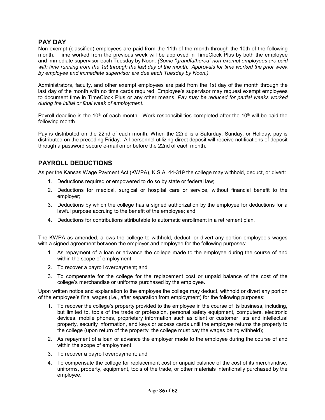## **PAY DAY**

Non-exempt (classified) employees are paid from the 11th of the month through the 10th of the following month. Time worked from the previous week will be approved in TimeClock Plus by both the employee and immediate supervisor each Tuesday by Noon. *(Some "grandfathered" non-exempt employees are paid with time running from the 1st through the last day of the month. Approvals for time worked the prior week by employee and immediate supervisor are due each Tuesday by Noon.)*

Administrators, faculty, and other exempt employees are paid from the 1st day of the month through the last day of the month with no time cards required. Employee's supervisor may request exempt employees to document time in TimeClock Plus or any other means. *Pay may be reduced for partial weeks worked during the initial or final week of employment.*

Payroll deadline is the 10<sup>th</sup> of each month. Work responsibilities completed after the 10<sup>th</sup> will be paid the following month.

Pay is distributed on the 22nd of each month. When the 22nd is a Saturday, Sunday, or Holiday, pay is distributed on the preceding Friday. All personnel utilizing direct deposit will receive notifications of deposit through a password secure e-mail on or before the 22nd of each month.

## **PAYROLL DEDUCTIONS**

As per the Kansas Wage Payment Act (KWPA), K.S.A. 44-319 the college may withhold, deduct, or divert:

- 1. Deductions required or empowered to do so by state or federal law;
- 2. Deductions for medical, surgical or hospital care or service, without financial benefit to the employer;
- 3. Deductions by which the college has a signed authorization by the employee for deductions for a lawful purpose accruing to the benefit of the employee; and
- 4. Deductions for contributions attributable to automatic enrollment in a retirement plan.

The KWPA as amended, allows the college to withhold, deduct, or divert any portion employee's wages with a signed agreement between the employer and employee for the following purposes:

- 1. As repayment of a loan or advance the college made to the employee during the course of and within the scope of employment;
- 2. To recover a payroll overpayment; and
- 3. To compensate for the college for the replacement cost or unpaid balance of the cost of the college's merchandise or uniforms purchased by the employee.

Upon written notice and explanation to the employee the college may deduct, withhold or divert any portion of the employee's final wages (i.e., after separation from employment) for the following purposes:

- 1. To recover the college's property provided to the employee in the course of its business, including, but limited to, tools of the trade or profession, personal safety equipment, computers, electronic devices, mobile phones, proprietary information such as client or customer lists and intellectual property, security information, and keys or access cards until the employee returns the property to the college (upon return of the property, the college must pay the wages being withheld);
- 2. As repayment of a loan or advance the employer made to the employee during the course of and within the scope of employment;
- 3. To recover a payroll overpayment; and
- 4. To compensate the college for replacement cost or unpaid balance of the cost of its merchandise, uniforms, property, equipment, tools of the trade, or other materials intentionally purchased by the employee.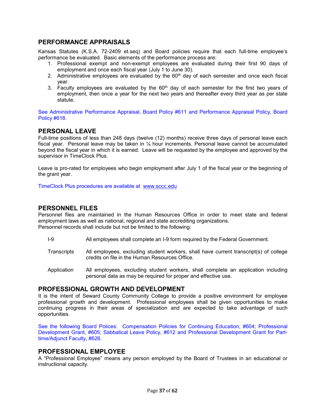## **PERFORMANCE APPRAISALS**

Kansas Statutes (K.S.A. 72-2409 et.seq) and Board policies require that each full-time employee's performance be evaluated. Basic elements of the performance process are:

- 1. Professional exempt and non-exempt employees are evaluated during their first 90 days of employment and once each fiscal year (July 1 to June 30).
- 2. Administrative employees are evaluated by the  $60<sup>th</sup>$  day of each semester and once each fiscal year.
- 3. Faculty employees are evaluated by the  $60<sup>th</sup>$  day of each semester for the first two years of employment, then once a year for the next two years and thereafter every third year as per state statute.

See Administrative Performance Appraisal, Board Policy #611 and Performance Appraisal Policy, Board Policy #618.

## **PERSONAL LEAVE**

Full-time positions of less than 248 days (twelve (12) months) receive three days of personal leave each fiscal year. Personal leave may be taken in ¼ hour increments. Personal leave cannot be accumulated beyond the fiscal year in which it is earned.Leave will be requested by the employee and approved by the supervisor in TimeClock Plus.

Leave is pro-rated for employees who begin employment after July 1 of the fiscal year or the beginning of the grant year.

TimeClock Plus procedures are available at www.sccc.edu

## **PERSONNEL FILES**

Personnel files are maintained in the Human Resources Office in order to meet state and federal employment laws as well as national, regional and state accrediting organizations. Personnel records shall include but not be limited to the following:

- I-9 All employees shall complete an I-9 form required by the Federal Government.
- Transcripts All employees, excluding student workers, shall have current transcript(s) of college credits on file in the Human Resources Office.
- Application All employees, excluding student workers, shall complete an application including personal data as may be required for proper and effective use.

#### **PROFESSIONAL GROWTH AND DEVELOPMENT**

It is the intent of Seward County Community College to provide a positive environment for employee professional growth and development. Professional employees shall be given opportunities to make continuing progress in their areas of specialization and are expected to take advantage of such opportunities.

See the following Board Polices: Compensation Policies for Continuing Education, #604; Professional Development Grant, #605; Sabbatical Leave Policy, #612 and Professional Development Grant for Parttime/Adjunct Faculty, #626.

#### **PROFESSIONAL EMPLOYEE**

A "Professional Employee" means any person employed by the Board of Trustees in an educational or instructional capacity.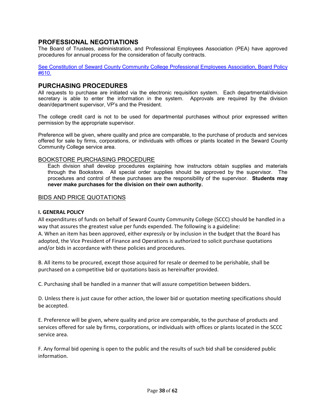## **PROFESSIONAL NEGOTIATIONS**

The Board of Trustees, administration, and Professional Employees Association (PEA) have approved procedures for annual process for the consideration of faculty contracts.

See Constitution of Seward County Community College Professional Employees Association, Board Policy #610.

## **PURCHASING PROCEDURES**

All requests to purchase are initiated via the electronic requisition system. Each departmental/division secretary is able to enter the information in the system. Approvals are required by the division dean/department supervisor, VP's and the President.

The college credit card is not to be used for departmental purchases without prior expressed written permission by the appropriate supervisor.

Preference will be given, where quality and price are comparable, to the purchase of products and services offered for sale by firms, corporations, or individuals with offices or plants located in the Seward County Community College service area.

#### BOOKSTORE PURCHASING PROCEDURE

Each division shall develop procedures explaining how instructors obtain supplies and materials through the Bookstore. All special order supplies should be approved by the supervisor. The procedures and control of these purchases are the responsibility of the supervisor. **Students may never make purchases for the division on their own authority.**

#### BIDS AND PRICE QUOTATIONS

#### **I. GENERAL POLICY**

All expenditures of funds on behalf of Seward County Community College (SCCC) should be handled in a way that assures the greatest value per funds expended. The following is a guideline: A. When an item has been approved, either expressly or by inclusion in the budget that the Board has adopted, the Vice President of Finance and Operations is authorized to solicit purchase quotations and/or bids in accordance with these policies and procedures.

B. All items to be procured, except those acquired for resale or deemed to be perishable, shall be purchased on a competitive bid or quotations basis as hereinafter provided.

C. Purchasing shall be handled in a manner that will assure competition between bidders.

D. Unless there is just cause for other action, the lower bid or quotation meeting specifications should be accepted.

E. Preference will be given, where quality and price are comparable, to the purchase of products and services offered for sale by firms, corporations, or individuals with offices or plants located in the SCCC service area.

F. Any formal bid opening is open to the public and the results of such bid shall be considered public information.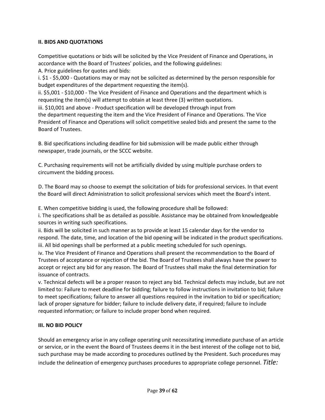## **II. BIDS AND QUOTATIONS**

Competitive quotations or bids will be solicited by the Vice President of Finance and Operations, in accordance with the Board of Trustees' policies, and the following guidelines:

A. Price guidelines for quotes and bids:

i. \$1 - \$5,000 - Quotations may or may not be solicited as determined by the person responsible for budget expenditures of the department requesting the item(s).

ii. \$5,001 - \$10,000 - The Vice President of Finance and Operations and the department which is requesting the item(s) will attempt to obtain at least three (3) written quotations.

iii. \$10,001 and above - Product specification will be developed through input from

the department requesting the item and the Vice President of Finance and Operations. The Vice President of Finance and Operations will solicit competitive sealed bids and present the same to the Board of Trustees.

B. Bid specifications including deadline for bid submission will be made public either through newspaper, trade journals, or the SCCC website.

C. Purchasing requirements will not be artificially divided by using multiple purchase orders to circumvent the bidding process.

D. The Board may so choose to exempt the solicitation of bids for professional services. In that event the Board will direct Administration to solicit professional services which meet the Board's intent.

E. When competitive bidding is used, the following procedure shall be followed:

i. The specifications shall be as detailed as possible. Assistance may be obtained from knowledgeable sources in writing such specifications.

ii. Bids will be solicited in such manner as to provide at least 15 calendar days for the vendor to respond. The date, time, and location of the bid opening will be indicated in the product specifications. iii. All bid openings shall be performed at a public meeting scheduled for such openings.

iv. The Vice President of Finance and Operations shall present the recommendation to the Board of Trustees of acceptance or rejection of the bid. The Board of Trustees shall always have the power to accept or reject any bid for any reason. The Board of Trustees shall make the final determination for issuance of contracts.

v. Technical defects will be a proper reason to reject any bid. Technical defects may include, but are not limited to: Failure to meet deadline for bidding; failure to follow instructions in invitation to bid; failure to meet specifications; failure to answer all questions required in the invitation to bid or specification; lack of proper signature for bidder; failure to include delivery date, if required; failure to include requested information; or failure to include proper bond when required.

## **III. NO BID POLICY**

Should an emergency arise in any college operating unit necessitating immediate purchase of an article or service, or in the event the Board of Trustees deems it in the best interest of the college not to bid, such purchase may be made according to procedures outlined by the President. Such procedures may include the delineation of emergency purchases procedures to appropriate college personnel. *Title:*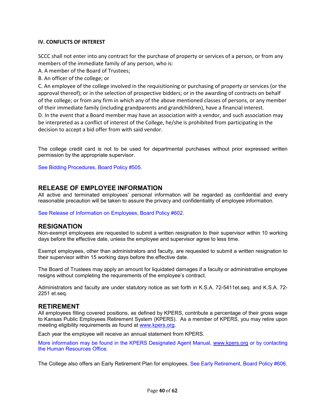#### **IV. CONFLICTS OF INTEREST**

SCCC shall not enter into any contract for the purchase of property or services of a person, or from any members of the immediate family of any person, who is:

A. A member of the Board of Trustees;

B. An officer of the college; or

C. An employee of the college involved in the requisitioning or purchasing of property or services (or the approval thereof); or in the selection of prospective bidders; or in the awarding of contracts on behalf of the college; or from any firm in which any of the above mentioned classes of persons, or any member of their immediate family (including grandparents and grandchildren), have a financial interest.

D. In the event that a Board member may have an association with a vendor, and such association may be interpreted as a conflict of interest of the College, he/she is prohibited from participating in the decision to accept a bid offer from with said vendor.

The college credit card is not to be used for departmental purchases without prior expressed written permission by the appropriate supervisor.

See Bidding Procedures, Board Policy #505.

## **RELEASE OF EMPLOYEE INFORMATION**

All active and terminated employees' personal information will be regarded as confidential and every reasonable precaution will be taken to assure the privacy and confidentiality of employee information.

See Release of Information on Employees, Board Policy #602.

## **RESIGNATION**

Non-exempt employees are requested to submit a written resignation to their supervisor within 10 working days before the effective date, unless the employee and supervisor agree to less time.

Exempt employees, other than administrators and faculty, are requested to submit a written resignation to their supervisor within 15 working days before the effective date.

The Board of Trustees may apply an amount for liquidated damages if a faculty or administrative employee resigns without completing the requirements of the employee's contract.

Administrators and faculty are under statutory notice as set forth in K.S.A. 72-5411et.seq. and K.S.A. 72- 2251 et.seq.

## **RETIREMENT**

All employees filling covered positions, as defined by KPERS, contribute a percentage of their gross wage to Kansas Public Employees Retirement System (KPERS). As a member of KPERS, you may retire upon meeting eligibility requirements as found at [www.kpers.org.](http://www.kpers.org/)

Each year the employee will receive an annual statement from KPERS.

More information may be found in the KPERS Designated Agent Manual, [www.kpers.org](http://www.kpers.org/) or by contacting the Human Resources Office.

The College also offers an Early Retirement Plan for employees. See Early Retirement, Board Policy #606.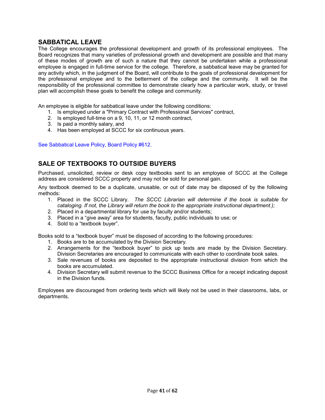## **SABBATICAL LEAVE**

The College encourages the professional development and growth of its professional employees. The Board recognizes that many varieties of professional growth and development are possible and that many of these modes of growth are of such a nature that they cannot be undertaken while a professional employee is engaged in full-time service for the college. Therefore, a sabbatical leave may be granted for any activity which, in the judgment of the Board, will contribute to the goals of professional development for the professional employee and to the betterment of the college and the community. It will be the responsibility of the professional committee to demonstrate clearly how a particular work, study, or travel plan will accomplish these goals to benefit the college and community.

An employee is eligible for sabbatical leave under the following conditions:

- 1. Is employed under a "Primary Contract with Professional Services" contract,
- 2. Is employed full-time on a 9, 10, 11, or 12 month contract,
- 3. Is paid a monthly salary, and
- 4. Has been employed at SCCC for six continuous years.

See Sabbatical Leave Policy, Board Policy #612.

# **SALE OF TEXTBOOKS TO OUTSIDE BUYERS**

Purchased, unsolicited, review or desk copy textbooks sent to an employee of SCCC at the College address are considered SCCC property and may not be sold for personal gain.

Any textbook deemed to be a duplicate, unusable, or out of date may be disposed of by the following methods:

- 1. Placed in the SCCC Library. *The SCCC Librarian will determine if the book is suitable for cataloging. If not, the Library will return the book to the appropriate instructional department.);*
- 2. Placed in a departmental library for use by faculty and/or students;
- 3. Placed in a "give away" area for students, faculty, public individuals to use; or
- 4. Sold to a "textbook buyer".

Books sold to a "textbook buyer" must be disposed of according to the following procedures:

- 1. Books are to be accumulated by the Division Secretary.
- 2. Arrangements for the "textbook buyer" to pick up texts are made by the Division Secretary. Division Secretaries are encouraged to communicate with each other to coordinate book sales.
- 3. Sale revenues of books are deposited to the appropriate instructional division from which the books are accumulated.
- 4. Division Secretary will submit revenue to the SCCC Business Office for a receipt indicating deposit in the Division funds.

Employees are discouraged from ordering texts which will likely not be used in their classrooms, labs, or departments.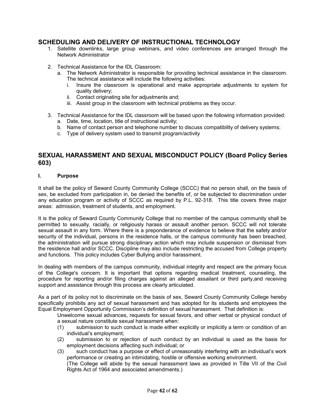## **SCHEDULING AND DELIVERY OF INSTRUCTIONAL TECHNOLOGY**

- 1. Satellite downlinks, large group webinars, and video conferences are arranged through the Network Administrator
- 2. Technical Assistance for the IDL Classroom:
	- a. The Network Administrator is responsible for providing technical assistance in the classroom. The technical assistance will include the following activities:
		- i. Insure the classroom is operational and make appropriate adjustments to system for quality delivery;
		- ii. Contact originating site for adjustments and;
		- iii. Assist group in the classroom with technical problems as they occur.
- 3. Technical Assistance for the IDL classroom will be based upon the following information provided:
	- a. Date, time, location, title of instructional activity;
	- b. Name of contact person and telephone number to discuss compatibility of delivery systems;
	- c. Type of delivery system used to transmit program/activity

## **SEXUAL HARASSMENT AND SEXUAL MISCONDUCT POLICY (Board Policy Series 603)**

#### **I. Purpose**

It shall be the policy of Seward County Community College (SCCC) that no person shall, on the basis of sex, be excluded from participation in, be denied the benefits of, or be subjected to discrimination under any education program or activity of SCCC as required by P.L. 92-318. This title covers three major areas: admission, treatment of students, and employment.

It is the policy of Seward County Community College that no member of the campus community shall be permitted to sexually, racially, or religiously harass or assault another person. SCCC will not tolerate sexual assault in any form. Where there is a preponderance of evidence to believe that the safety and/or security of the individual, persons in the residence halls, or the campus community has been breached, the administration will pursue strong disciplinary action which may include suspension or dismissal from the residence hall and/or SCCC. Discipline may also include restricting the accused from College property and functions. This policy includes Cyber Bullying and/or harassment.

In dealing with members of the campus community, individual integrity and respect are the primary focus of the College's concern. It is important that options regarding medical treatment, counseling, the procedure for reporting and/or filing charges against an alleged assailant or third party,and receiving support and assistance through this process are clearly articulated.

As a part of its policy not to discriminate on the basis of sex, Seward County Community College hereby specifically prohibits any act of sexual harassment and has adopted for its students and employees the Equal Employment Opportunity Commission's definition of sexual harassment. That definition is:

Unwelcome sexual advances, requests for sexual favors, and other verbal or physical conduct of a sexual nature constitute sexual harassment when:

- (1) submission to such conduct is made either explicitly or implicitly a term or condition of an individual's employment;
- (2) submission to or rejection of such conduct by an individual is used as the basis for employment decisions affecting such individual; or
- (3) such conduct has a purpose or effect of unreasonably interfering with an individual's work performance or creating an intimidating, hostile or offensive working environment. (The College will abide by the sexual harassment laws as provided in Title VII of the Civil Rights Act of 1964 and associated amendments.)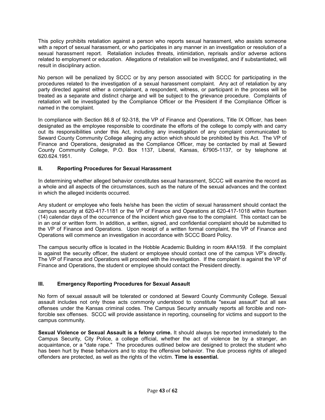This policy prohibits retaliation against a person who reports sexual harassment, who assists someone with a report of sexual harassment, or who participates in any manner in an investigation or resolution of a sexual harassment report. Retaliation includes threats, intimidation, reprisals and/or adverse actions related to employment or education. Allegations of retaliation will be investigated, and if substantiated, will result in disciplinary action.

No person will be penalized by SCCC or by any person associated with SCCC for participating in the procedures related to the investigation of a sexual harassment complaint. Any act of retaliation by any party directed against either a complainant, a respondent, witness, or participant in the process will be treated as a separate and distinct charge and will be subject to the grievance procedure. Complaints of retaliation will be investigated by the Compliance Officer or the President if the Compliance Officer is named in the complaint.

In compliance with Section 86.8 of 92-318, the VP of Finance and Operations, Title IX Officer, has been designated as the employee responsible to coordinate the efforts of the college to comply with and carry out its responsibilities under this Act, including any investigation of any complaint communicated to Seward County Community College alleging any action which should be prohibited by this Act. The VP of Finance and Operations, designated as the Compliance Officer, may be contacted by mail at Seward County Community College, P.O. Box 1137, Liberal, Kansas, 67905-1137, or by telephone at 620.624.1951.

## **II. Reporting Procedures for Sexual Harassment**

In determining whether alleged behavior constitutes sexual harassment, SCCC will examine the record as a whole and all aspects of the circumstances, such as the nature of the sexual advances and the context in which the alleged incidents occurred.

Any student or employee who feels he/she has been the victim of sexual harassment should contact the campus security at 620-417-1181 or the VP of Finance and Operations at 620-417-1018 within fourteen (14) calendar days of the occurrence of the incident which gave rise to the complaint. This contact can be in an oral or written form. In addition, a written, signed, and confidential complaint should be submitted to the VP of Finance and Operations. Upon receipt of a written formal complaint, the VP of Finance and Operations will commence an investigation in accordance with SCCC Board Policy.

The campus security office is located in the Hobble Academic Building in room #AA159. If the complaint is against the security officer, the student or employee should contact one of the campus VP's directly. The VP of Finance and Operations will proceed with the investigation. If the complaint is against the VP of Finance and Operations, the student or employee should contact the President directly.

## **III. Emergency Reporting Procedures for Sexual Assault**

No form of sexual assault will be tolerated or condoned at Seward County Community College. Sexual assault includes not only those acts commonly understood to constitute "sexual assault" but all sex offenses under the Kansas criminal codes. The Campus Security annually reports all forcible and nonforcible sex offenses. SCCC will provide assistance in reporting, counseling for victims and support to the campus community.

**Sexual Violence or Sexual Assault is a felony crime.** It should always be reported immediately to the Campus Security, City Police, a college official, whether the act of violence be by a stranger, an acquaintance, or a "date rape." The procedures outlined below are designed to protect the student who has been hurt by these behaviors and to stop the offensive behavior. The due process rights of alleged offenders are protected, as well as the rights of the victim. **Time is essential.**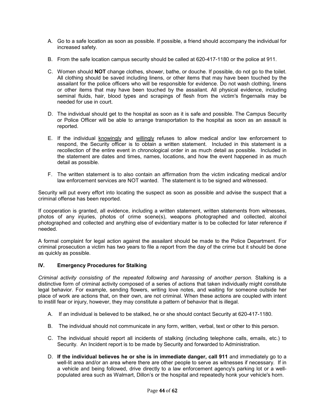- A. Go to a safe location as soon as possible. If possible, a friend should accompany the individual for increased safety.
- B. From the safe location campus security should be called at 620-417-1180 or the police at 911.
- C. Women should **NOT** change clothes, shower, bathe, or douche. If possible, do not go to the toilet. All clothing should be saved including linens, or other items that may have been touched by the assailant for the police officers who will be responsible for evidence. Do not wash clothing, linens or other items that may have been touched by the assailant. All physical evidence, including seminal fluids, hair, blood types and scrapings of flesh from the victim's fingernails may be needed for use in court.
- D. The individual should get to the hospital as soon as it is safe and possible. The Campus Security or Police Officer will be able to arrange transportation to the hospital as soon as an assault is reported.
- E. If the individual knowingly and willingly refuses to allow medical and/or law enforcement to respond, the Security officer is to obtain a written statement. Included in this statement is a recollection of the entire event in chronological order in as much detail as possible. Included in the statement are dates and times, names, locations, and how the event happened in as much detail as possible.
- F. The written statement is to also contain an affirmation from the victim indicating medical and/or law enforcement services are NOT wanted. The statement is to be signed and witnessed.

Security will put every effort into locating the suspect as soon as possible and advise the suspect that a criminal offense has been reported.

If cooperation is granted, all evidence, including a written statement, written statements from witnesses, photos of any injuries, photos of crime scene(s), weapons photographed and collected, alcohol photographed and collected and anything else of evidentiary matter is to be collected for later reference if needed.

A formal complaint for legal action against the assailant should be made to the Police Department. For criminal prosecution a victim has two years to file a report from the day of the crime but it should be done as quickly as possible.

#### **IV. Emergency Procedures for Stalking**

*Criminal activity consisting of the repeated following and harassing of another person.* Stalking is a distinctive form of criminal activity composed of a series of actions that taken individually might constitute legal behavior. For example, sending flowers, writing love notes, and waiting for someone outside her place of work are actions that, on their own, are not criminal. When these actions are coupled with intent to instill fear or injury, however, they may constitute a pattern of behavior that is illegal.

- A. If an individual is believed to be stalked, he or she should contact Security at 620-417-1180.
- B. The individual should not communicate in any form, written, verbal, text or other to this person.
- C. The individual should report all incidents of stalking (including telephone calls, emails, etc.) to Security. An Incident report is to be made by Security and forwarded to Administration.
- D. **If the individual believes he or she is in immediate danger, call 911** and immediately go to a well-lit area and/or an area where there are other people to serve as witnesses if necessary. If in a vehicle and being followed, drive directly to a law enforcement agency's parking lot or a wellpopulated area such as Walmart, Dillon's or the hospital and repeatedly honk your vehicle's horn.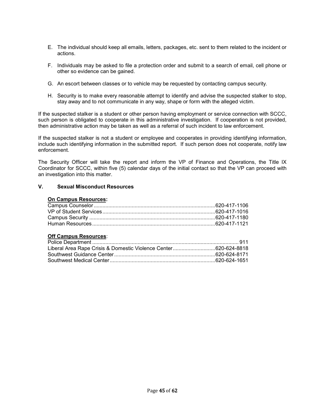- E. The individual should keep all emails, letters, packages, etc. sent to them related to the incident or actions.
- F. Individuals may be asked to file a protection order and submit to a search of email, cell phone or other so evidence can be gained.
- G. An escort between classes or to vehicle may be requested by contacting campus security.
- H. Security is to make every reasonable attempt to identify and advise the suspected stalker to stop, stay away and to not communicate in any way, shape or form with the alleged victim.

If the suspected stalker is a student or other person having employment or service connection with SCCC, such person is obligated to cooperate in this administrative investigation. If cooperation is not provided, then administrative action may be taken as well as a referral of such incident to law enforcement.

If the suspected stalker is not a student or employee and cooperates in providing identifying information, include such identifying information in the submitted report. If such person does not cooperate, notify law enforcement.

The Security Officer will take the report and inform the VP of Finance and Operations, the Title IX Coordinator for SCCC, within five (5) calendar days of the initial contact so that the VP can proceed with an investigation into this matter.

## **V. Sexual Misconduct Resources**

#### **On Campus Resources:**

#### **Off Campus Resources**:

| Liberal Area Rape Crisis & Domestic Violence Center620-624-8818 |  |
|-----------------------------------------------------------------|--|
|                                                                 |  |
|                                                                 |  |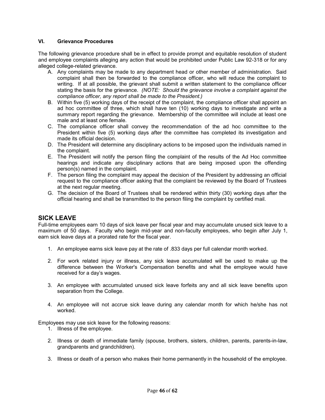#### **VI. Grievance Procedures**

The following grievance procedure shall be in effect to provide prompt and equitable resolution of student and employee complaints alleging any action that would be prohibited under Public Law 92-318 or for any alleged college-related grievance.

- A. Any complaints may be made to any department head or other member of administration. Said complaint shall then be forwarded to the compliance officer, who will reduce the complaint to writing. If at all possible, the grievant shall submit a written statement to the compliance officer stating the basis for the grievance. *(NOTE: Should the grievance involve a complaint against the compliance officer, any report shall be made to the President.)*
- B. Within five (5) working days of the receipt of the complaint, the compliance officer shall appoint an ad hoc committee of three, which shall have ten (10) working days to investigate and write a summary report regarding the grievance. Membership of the committee will include at least one male and at least one female.
- C. The compliance officer shall convey the recommendation of the ad hoc committee to the President within five (5) working days after the committee has completed its investigation and made its official decision.
- D. The President will determine any disciplinary actions to be imposed upon the individuals named in the complaint.
- E. The President will notify the person filing the complaint of the results of the Ad Hoc committee hearings and indicate any disciplinary actions that are being imposed upon the offending person(s) named in the complaint.
- F. The person filing the complaint may appeal the decision of the President by addressing an official request to the compliance officer asking that the complaint be reviewed by the Board of Trustees at the next regular meeting.
- G. The decision of the Board of Trustees shall be rendered within thirty (30) working days after the official hearing and shall be transmitted to the person filing the complaint by certified mail.

## **SICK LEAVE**

Full-time employees earn 10 days of sick leave per fiscal year and may accumulate unused sick leave to a maximum of 50 days. Faculty who begin mid-year and non-faculty employees, who begin after July 1, earn sick leave days at a prorated rate for the fiscal year.

- 1. An employee earns sick leave pay at the rate of .833 days per full calendar month worked.
- 2. For work related injury or illness, any sick leave accumulated will be used to make up the difference between the Worker's Compensation benefits and what the employee would have received for a day's wages.
- 3. An employee with accumulated unused sick leave forfeits any and all sick leave benefits upon separation from the College.
- 4. An employee will not accrue sick leave during any calendar month for which he/she has not worked.

Employees may use sick leave for the following reasons:

- 1. Illness of the employee.
- 2. Illness or death of immediate family (spouse, brothers, sisters, children, parents, parents-in-law, grandparents and grandchildren).
- 3. Illness or death of a person who makes their home permanently in the household of the employee.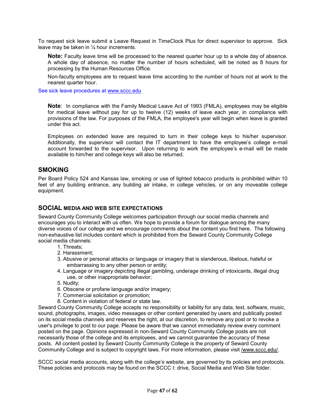To request sick leave submit a Leave Request in TimeClock Plus for direct supervisor to approve. Sick leave may be taken in ¼ hour increments.

**Note:** Faculty leave time will be processed to the nearest quarter hour up to a whole day of absence. A whole day of absence, no matter the number of hours scheduled, will be noted as 8 hours for processing by the Human Resources Office.

Non-faculty employees are to request leave time according to the number of hours not at work to the nearest quarter hour.

See sick leave procedures at [www.sccc.edu](http://www.sccc.edu/)

**Note**: In compliance with the Family Medical Leave Act of 1993 (FMLA), employees may be eligible for medical leave without pay for up to twelve (12) weeks of leave each year, in compliance with provisions of the law. For purposes of the FMLA, the employee's year will begin when leave is granted under this act.

Employees on extended leave are required to turn in their college keys to his/her supervisor. Additionally, the supervisor will contact the IT department to have the employee's college e-mail account forwarded to the supervisor. Upon returning to work the employee's e-mail will be made available to him/her and college keys will also be returned.

## **SMOKING**

Per Board Policy 524 and Kansas law, smoking or use of lighted tobacco products is prohibited within 10 feet of any building entrance, any building air intake, in college vehicles, or on any moveable college equipment.

## **SOCIAL MEDIA AND WEB SITE EXPECTATIONS**

Seward County Community College welcomes participation through our social media channels and encourages you to interact with us often. We hope to provide a forum for dialogue among the many diverse voices of our college and we encourage comments about the content you find here. The following non-exhaustive list includes content which is prohibited from the Seward County Community College social media channels:

- 1. Threats;
- 2. Harassment;
- 3. Abusive or personal attacks or language or imagery that is slanderous, libelous, hateful or embarrassing to any other person or entity;
- 4. Language or imagery depicting illegal gambling, underage drinking of intoxicants, illegal drug use, or other inappropriate behavior;
- 5. Nudity;
- 6. Obscene or profane language and/or imagery;
- 7. Commercial solicitation or promotion;
- 8. Content in violation of federal or state law.

Seward County Community College accepts no responsibility or liability for any data, text, software, music, sound, photographs, images, video messages or other content generated by users and publically posted on its social media channels and reserves the right, at our discretion, to remove any post or to revoke a user's privilege to post to our page. Please be aware that we cannot immediately review every comment posted on the page. Opinions expressed in non-Seward County Community College posts are not necessarily those of the college and its employees, and we cannot guarantee the accuracy of these posts. All content posted by Seward County Community College is the property of Seward County Community College and is subject to copyright laws. For more information, please visit [/www.sccc.edu/.](http://www.sccc.edu/)

SCCC social media accounts, along with the college's website, are governed by its policies and protocols. These policies and protocols may be found on the SCCC I: drive, Social Media and Web Site folder.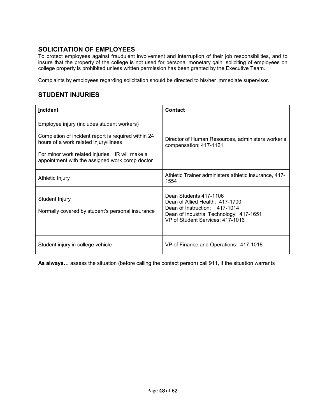# **SOLICITATION OF EMPLOYEES**

To protect employees against fraudulent involvement and interruption of their job responsibilities, and to insure that the property of the college is not used for personal monetary gain, soliciting of employees on college property is prohibited unless written permission has been granted by the Executive Team.

Complaints by employees regarding solicitation should be directed to his/her immediate supervisor.

# **STUDENT INJURIES**

| Incident                                                                                                                                                                                                                                         | <b>Contact</b>                                                                                                                                                            |
|--------------------------------------------------------------------------------------------------------------------------------------------------------------------------------------------------------------------------------------------------|---------------------------------------------------------------------------------------------------------------------------------------------------------------------------|
| Employee injury (includes student workers)<br>Completion of incident report is required within 24<br>hours of a work related injury/illness<br>For minor work related injuries, HR will make a<br>appointment with the assigned work comp doctor | Director of Human Resources, administers worker's<br>compensation; 417-1121                                                                                               |
| Athletic Injury                                                                                                                                                                                                                                  | Athletic Trainer administers athletic insurance, 417-<br>1554                                                                                                             |
| Student Injury<br>Normally covered by student's personal insurance                                                                                                                                                                               | Dean Students 417-1106<br>Dean of Allied Health: 417-1700<br>Dean of Instruction: 417-1014<br>Dean of Industrial Technology: 417-1651<br>VP of Student Services: 417-1016 |
| Student injury in college vehicle                                                                                                                                                                                                                | VP of Finance and Operations: 417-1018                                                                                                                                    |

**As always…** assess the situation (before calling the contact person) call 911, if the situation warrants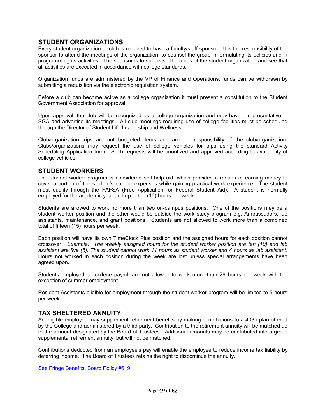## **STUDENT ORGANIZATIONS**

Every student organization or club is required to have a faculty/staff sponsor. It is the responsibility of the sponsor to attend the meetings of the organization, to counsel the group in formulating its policies and in programming its activities. The sponsor is to supervise the funds of the student organization and see that all activities are executed in accordance with college standards.

Organization funds are administered by the VP of Finance and Operations; funds can be withdrawn by submitting a requisition via the electronic requisition system.

Before a club can become active as a college organization it must present a constitution to the Student Government Association for approval.

Upon approval, the club will be recognized as a college organization and may have a representative in SGA and advertise its meetings. All club meetings requiring use of college facilities must be scheduled through the Director of Student Life Leadership and Wellness.

Club/organization trips are not budgeted items and are the responsibility of the club/organization. Clubs/organizations may request the use of college vehicles for trips using the standard Activity Scheduling Application form. Such requests will be prioritized and approved according to availability of college vehicles.

#### **STUDENT WORKERS**

The student worker program is considered self-help aid, which provides a means of earning money to cover a portion of the student's college expenses while gaining practical work experience. The student must qualify through the FAFSA (Free Application for Federal Student Aid). A student is normally employed for the academic year and up to ten (10) hours per week.

Students are allowed to work no more than two on-campus positions. One of the positions may be a student worker position and the other would be outside the work study program e.g. Ambassadors, lab assistants, maintenance, and grant positions. Students are not allowed to work more than a combined total of fifteen (15) hours per week.

Each position will have its own TimeClock Plus position and the assigned hours for each position cannot crossover. *Example: The weekly assigned hours for the student worker position are ten (10) and lab assistant are five (5). The student cannot work 11 hours as student worker and 4 hours as lab assistant*. Hours not worked in each position during the week are lost unless special arrangements have been agreed upon.

Students employed on college payroll are not allowed to work more than 29 hours per week with the exception of summer employment.

Resident Assistants eligible for employment through the student worker program will be limited to 5 hours per week.

## **TAX SHELTERED ANNUITY**

An eligible employee may supplement retirement benefits by making contributions to a 403b plan offered by the College and administered by a third party. Contribution to the retirement annuity will be matched up to the amount designated by the Board of Trustees. Additional amounts may be contributed into a group supplemental retirement annuity, but will not be matched.

Contributions deducted from an employee's pay will enable the employee to reduce income tax liability by deferring income. The Board of Trustees retains the right to discontinue the annuity.

See Fringe Benefits, Board Policy #619.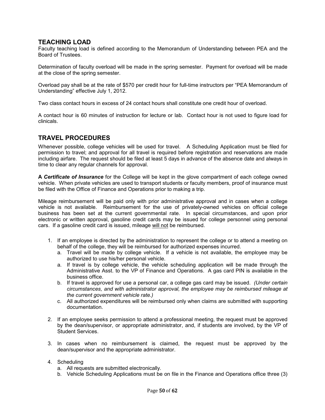## **TEACHING LOAD**

Faculty teaching load is defined according to the Memorandum of Understanding between PEA and the Board of Trustees.

Determination of faculty overload will be made in the spring semester. Payment for overload will be made at the close of the spring semester.

Overload pay shall be at the rate of \$570 per credit hour for full-time instructors per "PEA Memorandum of Understanding" effective July 1, 2012.

Two class contact hours in excess of 24 contact hours shall constitute one credit hour of overload.

A contact hour is 60 minutes of instruction for lecture or lab. Contact hour is not used to figure load for clinicals.

## **TRAVEL PROCEDURES**

Whenever possible, college vehicles will be used for travel. A Scheduling Application must be filed for permission to travel; and approval for all travel is required before registration and reservations are made including airfare. The request should be filed at least 5 days in advance of the absence date and always in time to clear any regular channels for approval.

**A** *Certificate of Insurance* for the College will be kept in the glove compartment of each college owned vehicle. When private vehicles are used to transport students or faculty members, proof of insurance must be filed with the Office of Finance and Operations prior to making a trip.

Mileage reimbursement will be paid only with prior administrative approval and in cases when a college vehicle is not available. Reimbursement for the use of privately-owned vehicles on official college business has been set at the current governmental rate. In special circumstances, and upon prior electronic or written approval, gasoline credit cards may be issued for college personnel using personal cars. If a gasoline credit card is issued, mileage will not be reimbursed.

- 1. If an employee is directed by the administration to represent the college or to attend a meeting on behalf of the college, they will be reimbursed for authorized expenses incurred.
	- a. Travel will be made by college vehicle. If a vehicle is not available, the employee may be authorized to use his/her personal vehicle.
	- a. If travel is by college vehicle, the vehicle scheduling application will be made through the Administrative Asst. to the VP of Finance and Operations. A gas card PIN is available in the business office.
	- b. If travel is approved for use a personal car, a college gas card may be issued. *(Under certain circumstances, and with administrator approval, the employee may be reimbursed mileage at the current government vehicle rate.)*
	- c. All authorized expenditures will be reimbursed only when claims are submitted with supporting documentation.
- 2. If an employee seeks permission to attend a professional meeting, the request must be approved by the dean/supervisor, or appropriate administrator, and, if students are involved, by the VP of Student Services.
- 3. In cases when no reimbursement is claimed, the request must be approved by the dean/supervisor and the appropriate administrator.
- 4. Scheduling
	- a. All requests are submitted electronically.
	- b. Vehicle Scheduling Applications must be on file in the Finance and Operations office three (3)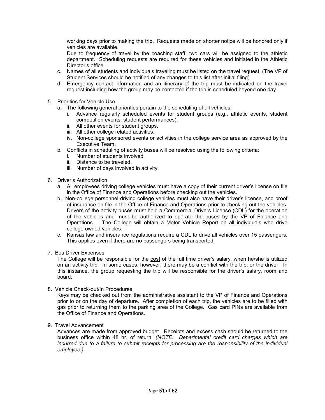working days prior to making the trip. Requests made on shorter notice will be honored only if vehicles are available.

Due to frequency of travel by the coaching staff, two cars will be assigned to the athletic department. Scheduling requests are required for these vehicles and initiated in the Athletic Director's office.

- c. Names of all students and individuals traveling must be listed on the travel request. (The VP of Student Services should be notified of any changes to this list after initial filing).
- d. Emergency contact information and an itinerary of the trip must be indicated on the travel request including how the group may be contacted if the trip is scheduled beyond one day.
- 5. Priorities for Vehicle Use
	- a. The following general priorities pertain to the scheduling of all vehicles:
		- i. Advance regularly scheduled events for student groups (e.g., athletic events, student competition events, student performances).
		- ii. All other events for student groups.
		- iii. All other college related activities.
		- iv. Non-college sponsored events or activities in the college service area as approved by the Executive Team.
	- b. Conflicts in scheduling of activity buses will be resolved using the following criteria:
		- i. Number of students involved.
		- ii. Distance to be traveled.
		- iii. Number of days involved in activity.
- 6. Driver's Authorization
	- a. All employees driving college vehicles must have a copy of their current driver's license on file in the Office of Finance and Operations before checking out the vehicles.
	- b. Non-college personnel driving college vehicles must also have their driver's license, and proof of insurance on file in the Office of Finance and Operations prior to checking out the vehicles. Drivers of the activity buses must hold a Commercial Drivers License (CDL) for the operation of the vehicles and must be authorized to operate the buses by the VP of Finance and Operations. The College will obtain a Motor Vehicle Report on all individuals who drive college owned vehicles.
	- c. Kansas law and insurance regulations require a CDL to drive all vehicles over 15 passengers. This applies even if there are no passengers being transported.
- 7. Bus Driver Expenses

The College will be responsible for the cost of the full time driver's salary, when he/she is utilized on an activity trip. In some cases, however, there may be a conflict with the trip, or the driver. In this instance, the group requesting the trip will be responsible for the driver's salary, room and board.

8. Vehicle Check-out/In Procedures

Keys may be checked out from the administrative assistant to the VP of Finance and Operations prior to or on the day of departure. After completion of each trip, the vehicles are to be filled with gas prior to returning them to the parking area of the College. Gas card PINs are available from the Office of Finance and Operations.

9. Travel Advancement

Advances are made from approved budget. Receipts and excess cash should be returned to the business office within 48 hr. of return. *(NOTE: Departmental credit card charges which are incurred due to a failure to submit receipts for processing are the responsibility of the individual employee.)*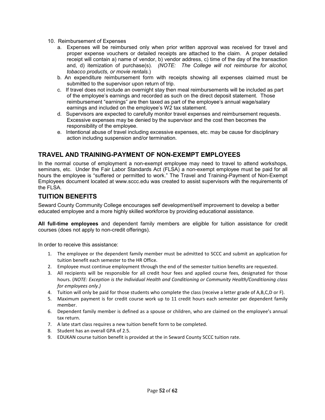- 10. Reimbursement of Expenses
	- a. Expenses will be reimbursed only when prior written approval was received for travel and proper expense vouchers or detailed receipts are attached to the claim. A proper detailed receipt will contain a) name of vendor, b) vendor address, c) time of the day of the transaction and, d) itemization of purchase(s). *(NOTE: The College will not reimburse for alcohol, tobacco products, or movie rentals.*)
	- b. An expenditure reimbursement form with receipts showing all expenses claimed must be submitted to the supervisor upon return of trip.
	- c. If travel does not include an overnight stay then meal reimbursements will be included as part of the employee's earnings and recorded as such on the direct deposit statement. Those reimbursement "earnings" are then taxed as part of the employee's annual wage/salary earnings and included on the employee's W2 tax statement.
	- d. Supervisors are expected to carefully monitor travel expenses and reimbursement requests. Excessive expenses may be denied by the supervisor and the cost then becomes the responsibility of the employee.
	- e. Intentional abuse of travel including excessive expenses, etc. may be cause for disciplinary action including suspension and/or termination.

## **TRAVEL AND TRAINING-PAYMENT OF NON-EXEMPT EMPLOYEES**

In the normal course of employment a non-exempt employee may need to travel to attend workshops, seminars, etc. Under the Fair Labor Standards Act (FLSA) a non-exempt employee must be paid for all hours the employee is "suffered or permitted to work." The Travel and Training-Payment of Non-Exempt Employees document located at www.sccc.edu was created to assist supervisors with the requirements of the FLSA.

## **TUITION BENEFITS**

Seward County Community College encourages self development/self improvement to develop a better educated employee and a more highly skilled workforce by providing educational assistance.

**All full-time employees** and dependent family members are eligible for tuition assistance for credit courses (does not apply to non-credit offerings).

In order to receive this assistance:

- 1. The employee or the dependent family member must be admitted to SCCC and submit an application for tuition benefit each semester to the HR Office.
- 2. Employee must continue employment through the end of the semester tuition benefits are requested.
- 3. All recipients will be responsible for all credit hour fees and applied course fees, designated for those hours. (*NOTE: Exception is the Individual Health and Conditioning or Community Health/Conditioning class for employees only.)*
- 4. Tuition will only be paid for those students who complete the class (receive a letter grade of A,B,C,D or F).
- 5. Maximum payment is for credit course work up to 11 credit hours each semester per dependent family member.
- 6. Dependent family member is defined as a spouse or children, who are claimed on the employee's annual tax return.
- 7. A late start class requires a new tuition benefit form to be completed.
- 8. Student has an overall GPA of 2.5.
- 9. EDUKAN course tuition benefit is provided at the in Seward County SCCC tuition rate.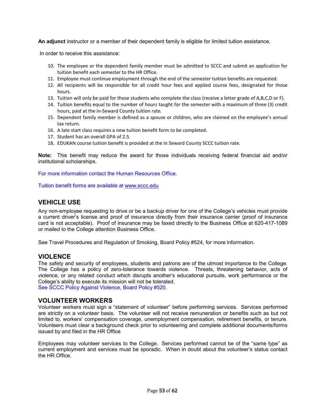**An adjunct** instructor or a member of their dependent family is eligible for limited tuition assistance.

In order to receive this assistance:

- 10. The employee or the dependent family member must be admitted to SCCC and submit an application for tuition benefit each semester to the HR Office.
- 11. Employee must continue employment through the end of the semester tuition benefits are requested.
- 12. All recipients will be responsible for all credit hour fees and applied course fees, designated for those hours.
- 13. Tuition will only be paid for those students who complete the class (receive a letter grade of A,B,C,D or F).
- 14. Tuition benefits equal to the number of hours taught for the semester with a maximum of three (3) credit hours, paid at the in-Seward County tuition rate.
- 15. Dependent family member is defined as a spouse or children, who are claimed on the employee's annual tax return.
- 16. A late start class requires a new tuition benefit form to be completed.
- 17. Student has an overall GPA of 2.5.
- 18. EDUKAN course tuition benefit is provided at the in Seward County SCCC tuition rate.

**Note:** This benefit may reduce the award for those individuals receiving federal financial aid and/or institutional scholarships.

For more information contact the Human Resources Office.

Tuition benefit forms are available at www.sccc.edu

## **VEHICLE USE**

Any non-employee requesting to drive or be a backup driver for one of the College's vehicles must provide a current driver's license and proof of insurance directly from their insurance carrier (proof of insurance card is not acceptable). Proof of insurance may be faxed directly to the Business Office at 620-417-1089 or mailed to the College attention Business Office.

See Travel Procedures and Regulation of Smoking, Board Policy #524, for more information.

## **VIOLENCE**

The safety and security of employees, students and patrons are of the utmost importance to the College. The College has a policy of zero-tolerance towards violence. Threats, threatening behavior, acts of violence, or any related conduct which disrupts another's educational pursuits, work performance or the College's ability to execute its mission will not be tolerated. See SCCC Policy Against Violence, Board Policy #520.

**VOLUNTEER WORKERS**

Volunteer workers must sign a "statement of volunteer" before performing services. Services performed are strictly on a volunteer basis. The volunteer will not receive remuneration or benefits such as but not limited to, workers' compensation coverage, unemployment compensation, retirement benefits, or tenure. Volunteers must clear a background check prior to volunteering and complete additional documents/forms issued by and filed in the HR Office

Employees may volunteer services to the College. Services performed cannot be of the "same type" as current employment and services must be sporadic. When in doubt about the volunteer's status contact the HR Office.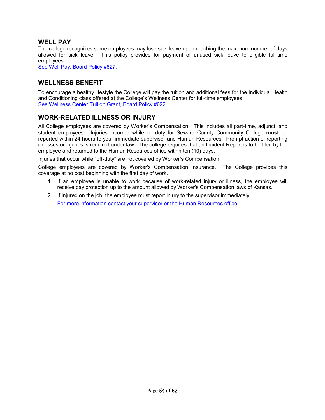## **WELL PAY**

The college recognizes some employees may lose sick leave upon reaching the maximum number of days allowed for sick leave. This policy provides for payment of unused sick leave to eligible full-time employees.

See Well Pay, Board Policy #627.

## **WELLNESS BENEFIT**

To encourage a healthy lifestyle the College will pay the tuition and additional fees for the Individual Health and Conditioning class offered at the College's Wellness Center for full-time employees. See Wellness Center Tuition Grant, Board Policy #622.

# **WORK-RELATED ILLNESS OR INJURY**

All College employees are covered by Worker's Compensation. This includes all part-time, adjunct, and student employees. Injuries incurred while on duty for Seward County Community College **must** be reported within 24 hours to your immediate supervisor and Human Resources. Prompt action of reporting illnesses or injuries is required under law. The college requires that an Incident Report is to be filed by the employee and returned to the Human Resources office within ten (10) days.

Injuries that occur while "off-duty" are not covered by Worker's Compensation.

College employees are covered by Worker's Compensation Insurance. The College provides this coverage at no cost beginning with the first day of work.

- 1. If an employee is unable to work because of work-related injury or illness, the employee will receive pay protection up to the amount allowed by Worker's Compensation laws of Kansas.
- 2. If injured on the job, the employee must report injury to the supervisor immediately.

For more information contact your supervisor or the Human Resources office.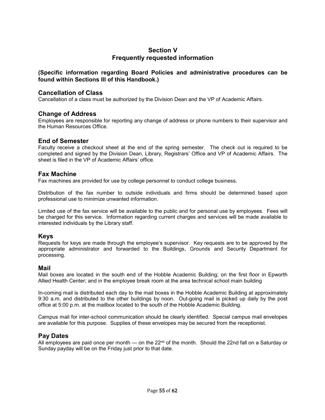## **Section V Frequently requested information**

## **(Specific information regarding Board Policies and administrative procedures can be found within Sections III of this Handbook.)**

## **Cancellation of Class**

Cancellation of a class must be authorized by the Division Dean and the VP of Academic Affairs.

## **Change of Address**

Employees are responsible for reporting any change of address or phone numbers to their supervisor and the Human Resources Office.

## **End of Semester**

Faculty receive a checkout sheet at the end of the spring semester. The check out is required to be completed and signed by the Division Dean, Library, Registrars' Office and VP of Academic Affairs. The sheet is filed in the VP of Academic Affairs' office.

## **Fax Machine**

Fax machines are provided for use by college personnel to conduct college business.

Distribution of the fax number to outside individuals and firms should be determined based upon professional use to minimize unwanted information.

Limited use of the fax service will be available to the public and for personal use by employees. Fees will be charged for this service. Information regarding current charges and services will be made available to interested individuals by the Library staff.

## **Keys**

Requests for keys are made through the employee's supervisor. Key requests are to be approved by the appropriate administrator and forwarded to the Buildings, Grounds and Security Department for processing.

#### **Mail**

Mail boxes are located in the south end of the Hobble Academic Building; on the first floor in Epworth Allied Health Center; and in the employee break room at the area technical school main building

In-coming mail is distributed each day to the mail boxes in the Hobble Academic Building at approximately 9:30 a.m. and distributed to the other buildings by noon. Out-going mail is picked up daily by the post office at 5:00 p.m. at the mailbox located to the south of the Hobble Academic Building.

Campus mail for inter-school communication should be clearly identified. Special campus mail envelopes are available for this purpose. Supplies of these envelopes may be secured from the receptionist.

## **Pay Dates**

All employees are paid once per month — on the  $22<sup>nd</sup>$  of the month. Should the 22nd fall on a Saturday or Sunday payday will be on the Friday just prior to that date.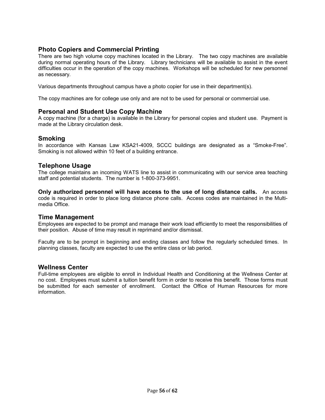## **Photo Copiers and Commercial Printing**

There are two high volume copy machines located in the Library. The two copy machines are available during normal operating hours of the Library. Library technicians will be available to assist in the event difficulties occur in the operation of the copy machines. Workshops will be scheduled for new personnel as necessary.

Various departments throughout campus have a photo copier for use in their department(s).

The copy machines are for college use only and are not to be used for personal or commercial use.

## **Personal and Student Use Copy Machine**

A copy machine (for a charge) is available in the Library for personal copies and student use. Payment is made at the Library circulation desk.

## **Smoking**

In accordance with Kansas Law KSA21-4009, SCCC buildings are designated as a "Smoke-Free". Smoking is not allowed within 10 feet of a building entrance.

## **Telephone Usage**

The college maintains an incoming WATS line to assist in communicating with our service area teaching staff and potential students. The number is 1-800-373-9951.

**Only authorized personnel will have access to the use of long distance calls.** An access code is required in order to place long distance phone calls. Access codes are maintained in the Multimedia Office.

## **Time Management**

Employees are expected to be prompt and manage their work load efficiently to meet the responsibilities of their position. Abuse of time may result in reprimand and/or dismissal.

Faculty are to be prompt in beginning and ending classes and follow the regularly scheduled times. In planning classes, faculty are expected to use the entire class or lab period.

## **Wellness Center**

Full-time employees are eligible to enroll in Individual Health and Conditioning at the Wellness Center at no cost. Employees must submit a tuition benefit form in order to receive this benefit. Those forms must be submitted for each semester of enrollment. Contact the Office of Human Resources for more information.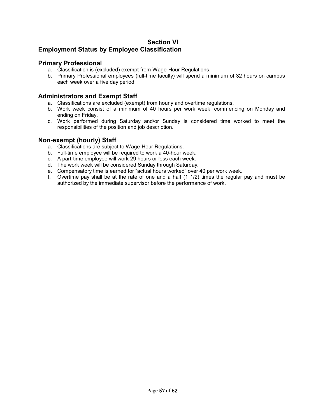# **Section VI**

# **Employment Status by Employee Classification**

## **Primary Professional**

- a. Classification is (excluded) exempt from Wage-Hour Regulations.
- b. Primary Professional employees (full-time faculty) will spend a minimum of 32 hours on campus each week over a five day period.

## **Administrators and Exempt Staff**

- a. Classifications are excluded (exempt) from hourly and overtime regulations.
- b. Work week consist of a minimum of 40 hours per work week, commencing on Monday and ending on Friday.
- c. Work performed during Saturday and/or Sunday is considered time worked to meet the responsibilities of the position and job description.

## **Non-exempt (hourly) Staff**

- a. Classifications are subject to Wage-Hour Regulations.
- b. Full-time employee will be required to work a 40-hour week.
- c. A part-time employee will work 29 hours or less each week.
- d. The work week will be considered Sunday through Saturday.
- e. Compensatory time is earned for "actual hours worked" over 40 per work week.
- f. Overtime pay shall be at the rate of one and a half (1 1/2) times the regular pay and must be authorized by the immediate supervisor before the performance of work.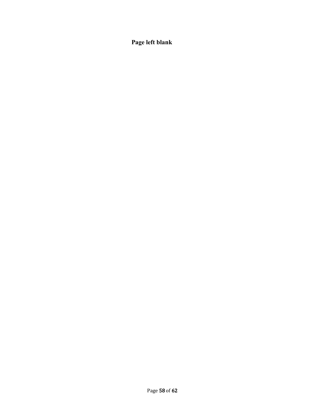**Page left blank**